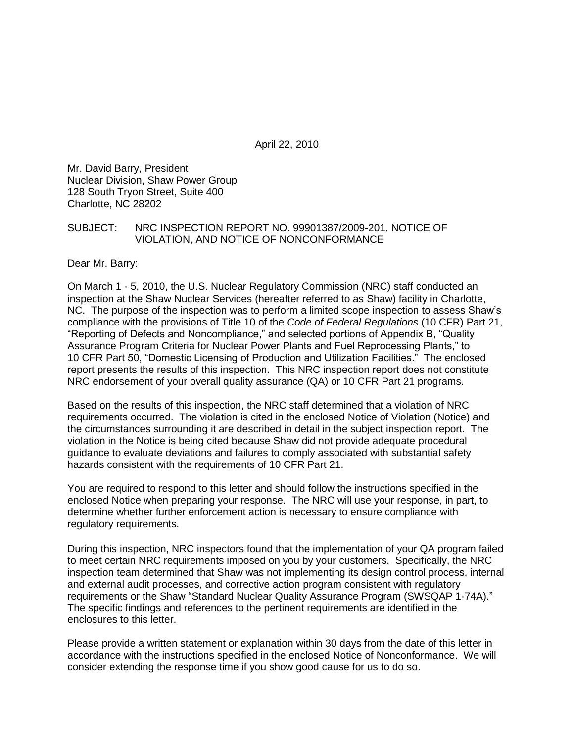April 22, 2010

Mr. David Barry, President Nuclear Division, Shaw Power Group 128 South Tryon Street, Suite 400 Charlotte, NC 28202

#### SUBJECT: NRC INSPECTION REPORT NO. 99901387/2009-201, NOTICE OF VIOLATION, AND NOTICE OF NONCONFORMANCE

Dear Mr. Barry:

On March 1 - 5, 2010, the U.S. Nuclear Regulatory Commission (NRC) staff conducted an inspection at the Shaw Nuclear Services (hereafter referred to as Shaw) facility in Charlotte, NC. The purpose of the inspection was to perform a limited scope inspection to assess Shaw's compliance with the provisions of Title 10 of the *Code of Federal Regulations* (10 CFR) Part 21, "Reporting of Defects and Noncompliance," and selected portions of Appendix B, "Quality Assurance Program Criteria for Nuclear Power Plants and Fuel Reprocessing Plants," to 10 CFR Part 50, "Domestic Licensing of Production and Utilization Facilities." The enclosed report presents the results of this inspection. This NRC inspection report does not constitute NRC endorsement of your overall quality assurance (QA) or 10 CFR Part 21 programs.

Based on the results of this inspection, the NRC staff determined that a violation of NRC requirements occurred. The violation is cited in the enclosed Notice of Violation (Notice) and the circumstances surrounding it are described in detail in the subject inspection report. The violation in the Notice is being cited because Shaw did not provide adequate procedural guidance to evaluate deviations and failures to comply associated with substantial safety hazards consistent with the requirements of 10 CFR Part 21.

You are required to respond to this letter and should follow the instructions specified in the enclosed Notice when preparing your response. The NRC will use your response, in part, to determine whether further enforcement action is necessary to ensure compliance with regulatory requirements.

During this inspection, NRC inspectors found that the implementation of your QA program failed to meet certain NRC requirements imposed on you by your customers. Specifically, the NRC inspection team determined that Shaw was not implementing its design control process, internal and external audit processes, and corrective action program consistent with regulatory requirements or the Shaw "Standard Nuclear Quality Assurance Program (SWSQAP 1-74A)." The specific findings and references to the pertinent requirements are identified in the enclosures to this letter.

Please provide a written statement or explanation within 30 days from the date of this letter in accordance with the instructions specified in the enclosed Notice of Nonconformance. We will consider extending the response time if you show good cause for us to do so.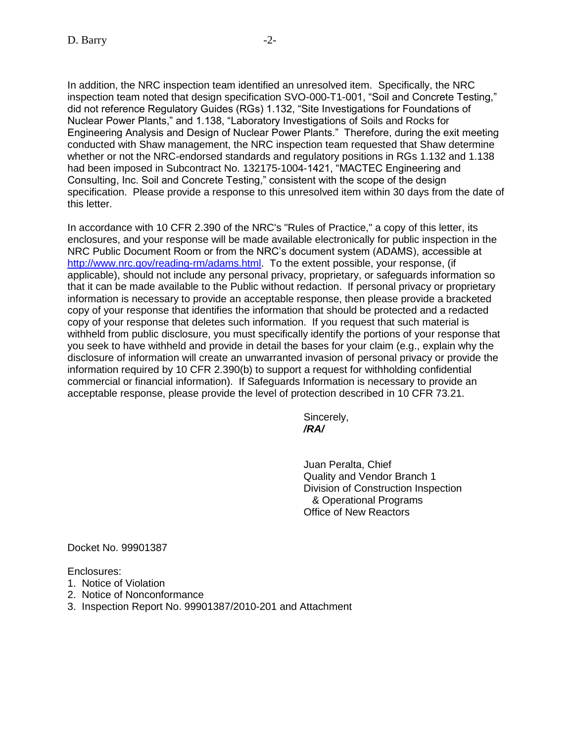In addition, the NRC inspection team identified an unresolved item. Specifically, the NRC inspection team noted that design specification SVO-000-T1-001, "Soil and Concrete Testing," did not reference Regulatory Guides (RGs) 1.132, "Site Investigations for Foundations of Nuclear Power Plants," and 1.138, "Laboratory Investigations of Soils and Rocks for Engineering Analysis and Design of Nuclear Power Plants." Therefore, during the exit meeting conducted with Shaw management, the NRC inspection team requested that Shaw determine whether or not the NRC-endorsed standards and regulatory positions in RGs 1.132 and 1.138 had been imposed in Subcontract No. 132175-1004-1421, "MACTEC Engineering and Consulting, Inc. Soil and Concrete Testing," consistent with the scope of the design specification. Please provide a response to this unresolved item within 30 days from the date of this letter.

In accordance with 10 CFR 2.390 of the NRC's "Rules of Practice," a copy of this letter, its enclosures, and your response will be made available electronically for public inspection in the NRC Public Document Room or from the NRC's document system (ADAMS), accessible at [http://www.nrc.gov/reading-rm/adams.html.](http://www.nrc.gov/reading-rm/adams.html) To the extent possible, your response, (if applicable), should not include any personal privacy, proprietary, or safeguards information so that it can be made available to the Public without redaction. If personal privacy or proprietary information is necessary to provide an acceptable response, then please provide a bracketed copy of your response that identifies the information that should be protected and a redacted copy of your response that deletes such information. If you request that such material is withheld from public disclosure, you must specifically identify the portions of your response that you seek to have withheld and provide in detail the bases for your claim (e.g., explain why the disclosure of information will create an unwarranted invasion of personal privacy or provide the information required by 10 CFR 2.390(b) to support a request for withholding confidential commercial or financial information). If Safeguards Information is necessary to provide an acceptable response, please provide the level of protection described in 10 CFR 73.21.

> Sincerely, */RA/*

Juan Peralta, Chief Quality and Vendor Branch 1 Division of Construction Inspection & Operational Programs Office of New Reactors

Docket No. 99901387

Enclosures:

- 1. Notice of Violation
- 2. Notice of Nonconformance
- 3. Inspection Report No. 99901387/2010-201 and Attachment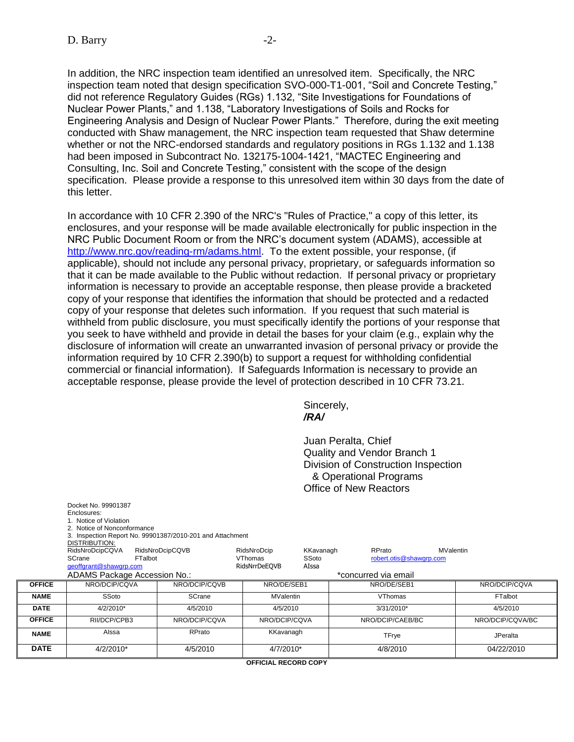In addition, the NRC inspection team identified an unresolved item. Specifically, the NRC inspection team noted that design specification SVO-000-T1-001, "Soil and Concrete Testing," did not reference Regulatory Guides (RGs) 1.132, "Site Investigations for Foundations of Nuclear Power Plants," and 1.138, "Laboratory Investigations of Soils and Rocks for Engineering Analysis and Design of Nuclear Power Plants." Therefore, during the exit meeting conducted with Shaw management, the NRC inspection team requested that Shaw determine whether or not the NRC-endorsed standards and regulatory positions in RGs 1.132 and 1.138 had been imposed in Subcontract No. 132175-1004-1421, "MACTEC Engineering and Consulting, Inc. Soil and Concrete Testing," consistent with the scope of the design specification. Please provide a response to this unresolved item within 30 days from the date of this letter.

In accordance with 10 CFR 2.390 of the NRC's "Rules of Practice," a copy of this letter, its enclosures, and your response will be made available electronically for public inspection in the NRC Public Document Room or from the NRC's document system (ADAMS), accessible at [http://www.nrc.gov/reading-rm/adams.html.](http://www.nrc.gov/reading-rm/adams.html) To the extent possible, your response, (if applicable), should not include any personal privacy, proprietary, or safeguards information so that it can be made available to the Public without redaction. If personal privacy or proprietary information is necessary to provide an acceptable response, then please provide a bracketed copy of your response that identifies the information that should be protected and a redacted copy of your response that deletes such information. If you request that such material is withheld from public disclosure, you must specifically identify the portions of your response that you seek to have withheld and provide in detail the bases for your claim (e.g., explain why the disclosure of information will create an unwarranted invasion of personal privacy or provide the information required by 10 CFR 2.390(b) to support a request for withholding confidential commercial or financial information). If Safeguards Information is necessary to provide an acceptable response, please provide the level of protection described in 10 CFR 73.21.

> Sincerely, */RA/*

Juan Peralta, Chief Quality and Vendor Branch 1 Division of Construction Inspection & Operational Programs Office of New Reactors

|               | Docket No. 99901387<br>Enclosures:<br>1. Notice of Violation<br>2. Notice of Nonconformance<br>DISTRIBUTION:<br>RidsNroDcipCQVA | 3. Inspection Report No. 99901387/2010-201 and Attachment<br>RidsNroDcipCQVB | RidsNroDcip                     | KKavanagh      | RPrato<br>MValentin     |                  |       |                 |
|---------------|---------------------------------------------------------------------------------------------------------------------------------|------------------------------------------------------------------------------|---------------------------------|----------------|-------------------------|------------------|-------|-----------------|
|               | SCrane<br>geoffgrant@shawgrp.com                                                                                                | FTalbot                                                                      | <b>VThomas</b><br>RidsNrrDeEQVB | SSoto<br>AIssa | robert.otis@shawgrp.com |                  |       |                 |
|               | ADAMS Package Accession No.:                                                                                                    |                                                                              | *concurred via email            |                |                         |                  |       |                 |
| <b>OFFICE</b> | NRO/DCIP/COVA                                                                                                                   | NRO/DCIP/COVB                                                                | NRO/DE/SEB1                     |                | NRO/DE/SEB1             | NRO/DCIP/COVA    |       |                 |
| <b>NAME</b>   | SSoto                                                                                                                           | SCrane                                                                       | <b>MValentin</b>                |                | <b>VThomas</b>          | FTalbot          |       |                 |
| <b>DATE</b>   | 4/2/2010*                                                                                                                       | 4/5/2010                                                                     | 4/5/2010                        |                | 3/31/2010*              | 4/5/2010         |       |                 |
| <b>OFFICE</b> | RII/DCP/CPB3                                                                                                                    | NRO/DCIP/CQVA                                                                | NRO/DCIP/CQVA                   |                | NRO/DCIP/CAEB/BC        | NRO/DCIP/CQVA/BC |       |                 |
| <b>NAME</b>   | Alssa                                                                                                                           | RPrato                                                                       | KKavanagh                       |                |                         |                  | TFrye | <b>JPeralta</b> |
| <b>DATE</b>   | 4/2/2010*                                                                                                                       | 4/5/2010                                                                     | 4/7/2010*                       |                | 4/8/2010                | 04/22/2010       |       |                 |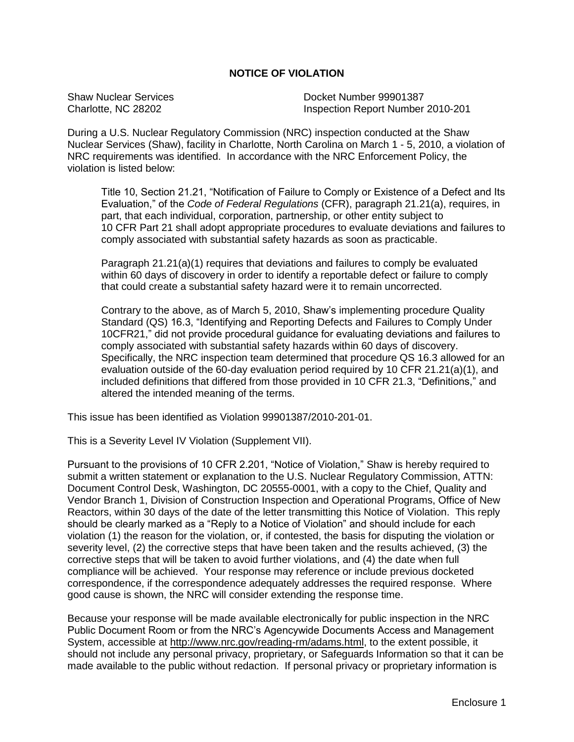# **NOTICE OF VIOLATION**

Shaw Nuclear Services Docket Number 99901387 Charlotte, NC 28202 Inspection Report Number 2010-201

During a U.S. Nuclear Regulatory Commission (NRC) inspection conducted at the Shaw Nuclear Services (Shaw), facility in Charlotte, North Carolina on March 1 - 5, 2010, a violation of NRC requirements was identified. In accordance with the NRC Enforcement Policy, the violation is listed below:

Title 10, Section 21.21, "Notification of Failure to Comply or Existence of a Defect and Its Evaluation," of the *Code of Federal Regulations* (CFR), paragraph 21.21(a), requires, in part, that each individual, corporation, partnership, or other entity subject to 10 CFR Part 21 shall adopt appropriate procedures to evaluate deviations and failures to comply associated with substantial safety hazards as soon as practicable.

Paragraph 21.21(a)(1) requires that deviations and failures to comply be evaluated within 60 days of discovery in order to identify a reportable defect or failure to comply that could create a substantial safety hazard were it to remain uncorrected.

Contrary to the above, as of March 5, 2010, Shaw's implementing procedure Quality Standard (QS) 16.3, "Identifying and Reporting Defects and Failures to Comply Under 10CFR21," did not provide procedural guidance for evaluating deviations and failures to comply associated with substantial safety hazards within 60 days of discovery. Specifically, the NRC inspection team determined that procedure QS 16.3 allowed for an evaluation outside of the 60-day evaluation period required by 10 CFR 21.21(a)(1), and included definitions that differed from those provided in 10 CFR 21.3, "Definitions," and altered the intended meaning of the terms.

This issue has been identified as Violation 99901387/2010-201-01.

This is a Severity Level IV Violation (Supplement VII).

Pursuant to the provisions of 10 CFR 2.201, "Notice of Violation," Shaw is hereby required to submit a written statement or explanation to the U.S. Nuclear Regulatory Commission, ATTN: Document Control Desk, Washington, DC 20555-0001, with a copy to the Chief, Quality and Vendor Branch 1, Division of Construction Inspection and Operational Programs, Office of New Reactors, within 30 days of the date of the letter transmitting this Notice of Violation. This reply should be clearly marked as a "Reply to a Notice of Violation" and should include for each violation (1) the reason for the violation, or, if contested, the basis for disputing the violation or severity level, (2) the corrective steps that have been taken and the results achieved, (3) the corrective steps that will be taken to avoid further violations, and (4) the date when full compliance will be achieved. Your response may reference or include previous docketed correspondence, if the correspondence adequately addresses the required response. Where good cause is shown, the NRC will consider extending the response time.

Because your response will be made available electronically for public inspection in the NRC Public Document Room or from the NRC's Agencywide Documents Access and Management System, accessible at http://www.nrc.gov/reading-rm/adams.html, to the extent possible, it should not include any personal privacy, proprietary, or Safeguards Information so that it can be made available to the public without redaction. If personal privacy or proprietary information is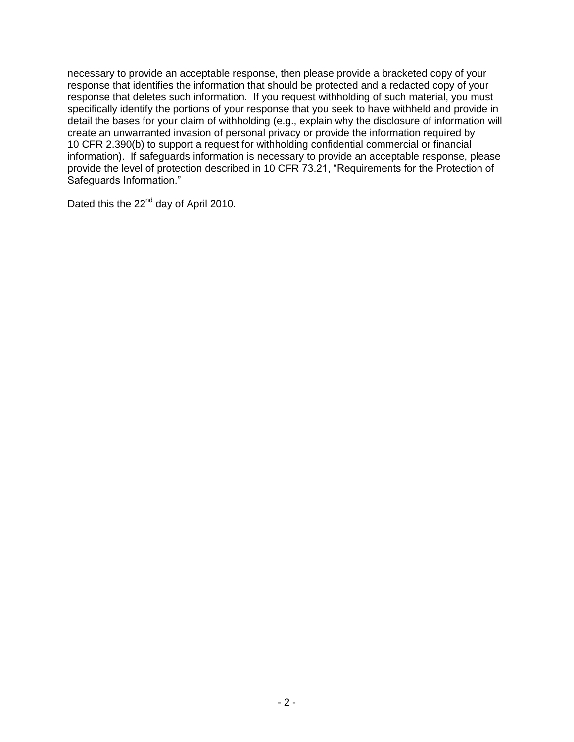necessary to provide an acceptable response, then please provide a bracketed copy of your response that identifies the information that should be protected and a redacted copy of your response that deletes such information. If you request withholding of such material, you must specifically identify the portions of your response that you seek to have withheld and provide in detail the bases for your claim of withholding (e.g., explain why the disclosure of information will create an unwarranted invasion of personal privacy or provide the information required by 10 CFR 2.390(b) to support a request for withholding confidential commercial or financial information). If safeguards information is necessary to provide an acceptable response, please provide the level of protection described in 10 CFR 73.21, "Requirements for the Protection of Safeguards Information."

Dated this the 22<sup>nd</sup> day of April 2010.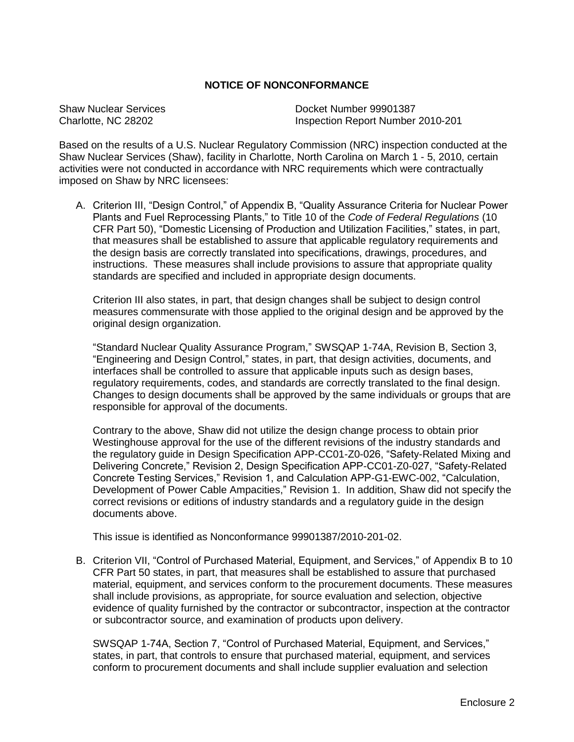#### **NOTICE OF NONCONFORMANCE**

Shaw Nuclear Services Docket Number 99901387 Charlotte, NC 28202 Inspection Report Number 2010-201

Based on the results of a U.S. Nuclear Regulatory Commission (NRC) inspection conducted at the Shaw Nuclear Services (Shaw), facility in Charlotte, North Carolina on March 1 - 5, 2010, certain activities were not conducted in accordance with NRC requirements which were contractually imposed on Shaw by NRC licensees:

A. Criterion III, "Design Control," of Appendix B, "Quality Assurance Criteria for Nuclear Power Plants and Fuel Reprocessing Plants," to Title 10 of the *Code of Federal Regulations* (10 CFR Part 50), "Domestic Licensing of Production and Utilization Facilities," states, in part, that measures shall be established to assure that applicable regulatory requirements and the design basis are correctly translated into specifications, drawings, procedures, and instructions. These measures shall include provisions to assure that appropriate quality standards are specified and included in appropriate design documents.

Criterion III also states, in part, that design changes shall be subject to design control measures commensurate with those applied to the original design and be approved by the original design organization.

"Standard Nuclear Quality Assurance Program," SWSQAP 1-74A, Revision B, Section 3, "Engineering and Design Control," states, in part, that design activities, documents, and interfaces shall be controlled to assure that applicable inputs such as design bases, regulatory requirements, codes, and standards are correctly translated to the final design. Changes to design documents shall be approved by the same individuals or groups that are responsible for approval of the documents.

Contrary to the above, Shaw did not utilize the design change process to obtain prior Westinghouse approval for the use of the different revisions of the industry standards and the regulatory guide in Design Specification APP-CC01-Z0-026, "Safety-Related Mixing and Delivering Concrete," Revision 2, Design Specification APP-CC01-Z0-027, "Safety-Related Concrete Testing Services," Revision 1, and Calculation APP-G1-EWC-002, "Calculation, Development of Power Cable Ampacities," Revision 1. In addition, Shaw did not specify the correct revisions or editions of industry standards and a regulatory guide in the design documents above.

This issue is identified as Nonconformance 99901387/2010-201-02.

B. Criterion VII, "Control of Purchased Material, Equipment, and Services," of Appendix B to 10 CFR Part 50 states, in part, that measures shall be established to assure that purchased material, equipment, and services conform to the procurement documents. These measures shall include provisions, as appropriate, for source evaluation and selection, objective evidence of quality furnished by the contractor or subcontractor, inspection at the contractor or subcontractor source, and examination of products upon delivery.

SWSQAP 1-74A, Section 7, "Control of Purchased Material, Equipment, and Services," states, in part, that controls to ensure that purchased material, equipment, and services conform to procurement documents and shall include supplier evaluation and selection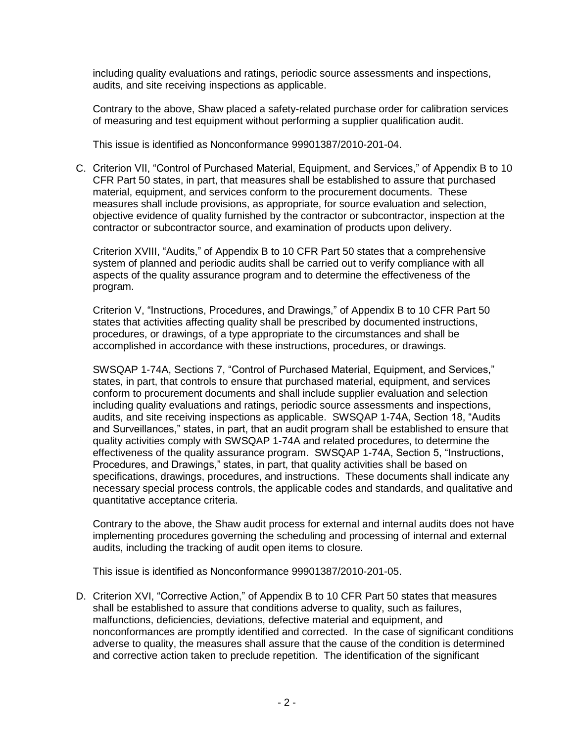including quality evaluations and ratings, periodic source assessments and inspections, audits, and site receiving inspections as applicable.

Contrary to the above, Shaw placed a safety-related purchase order for calibration services of measuring and test equipment without performing a supplier qualification audit.

This issue is identified as Nonconformance 99901387/2010-201-04.

C. Criterion VII, "Control of Purchased Material, Equipment, and Services," of Appendix B to 10 CFR Part 50 states, in part, that measures shall be established to assure that purchased material, equipment, and services conform to the procurement documents. These measures shall include provisions, as appropriate, for source evaluation and selection, objective evidence of quality furnished by the contractor or subcontractor, inspection at the contractor or subcontractor source, and examination of products upon delivery.

Criterion XVIII, "Audits," of Appendix B to 10 CFR Part 50 states that a comprehensive system of planned and periodic audits shall be carried out to verify compliance with all aspects of the quality assurance program and to determine the effectiveness of the program.

Criterion V, "Instructions, Procedures, and Drawings," of Appendix B to 10 CFR Part 50 states that activities affecting quality shall be prescribed by documented instructions, procedures, or drawings, of a type appropriate to the circumstances and shall be accomplished in accordance with these instructions, procedures, or drawings.

SWSQAP 1-74A, Sections 7, "Control of Purchased Material, Equipment, and Services," states, in part, that controls to ensure that purchased material, equipment, and services conform to procurement documents and shall include supplier evaluation and selection including quality evaluations and ratings, periodic source assessments and inspections, audits, and site receiving inspections as applicable. SWSQAP 1-74A, Section 18, "Audits and Surveillances," states, in part, that an audit program shall be established to ensure that quality activities comply with SWSQAP 1-74A and related procedures, to determine the effectiveness of the quality assurance program. SWSQAP 1-74A, Section 5, "Instructions, Procedures, and Drawings," states, in part, that quality activities shall be based on specifications, drawings, procedures, and instructions. These documents shall indicate any necessary special process controls, the applicable codes and standards, and qualitative and quantitative acceptance criteria.

Contrary to the above, the Shaw audit process for external and internal audits does not have implementing procedures governing the scheduling and processing of internal and external audits, including the tracking of audit open items to closure.

This issue is identified as Nonconformance 99901387/2010-201-05.

D. Criterion XVI, "Corrective Action," of Appendix B to 10 CFR Part 50 states that measures shall be established to assure that conditions adverse to quality, such as failures, malfunctions, deficiencies, deviations, defective material and equipment, and nonconformances are promptly identified and corrected. In the case of significant conditions adverse to quality, the measures shall assure that the cause of the condition is determined and corrective action taken to preclude repetition. The identification of the significant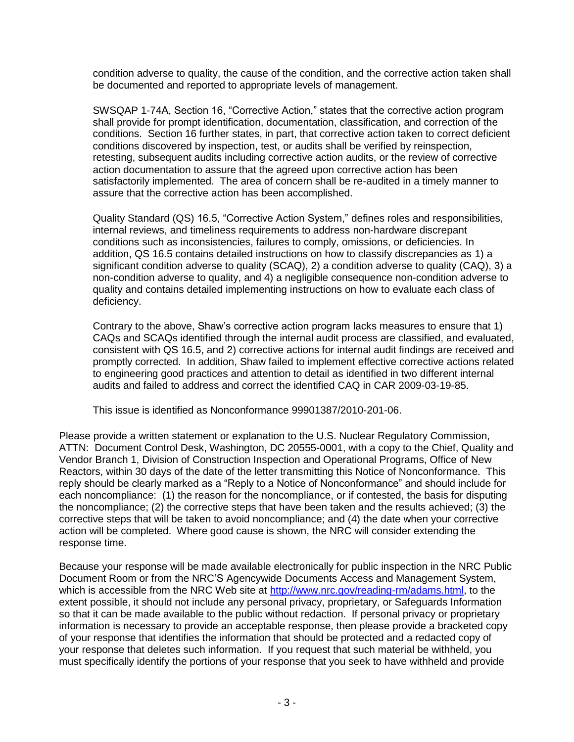condition adverse to quality, the cause of the condition, and the corrective action taken shall be documented and reported to appropriate levels of management.

SWSQAP 1-74A, Section 16, "Corrective Action," states that the corrective action program shall provide for prompt identification, documentation, classification, and correction of the conditions. Section 16 further states, in part, that corrective action taken to correct deficient conditions discovered by inspection, test, or audits shall be verified by reinspection, retesting, subsequent audits including corrective action audits, or the review of corrective action documentation to assure that the agreed upon corrective action has been satisfactorily implemented. The area of concern shall be re-audited in a timely manner to assure that the corrective action has been accomplished.

Quality Standard (QS) 16.5, "Corrective Action System," defines roles and responsibilities, internal reviews, and timeliness requirements to address non-hardware discrepant conditions such as inconsistencies, failures to comply, omissions, or deficiencies. In addition, QS 16.5 contains detailed instructions on how to classify discrepancies as 1) a significant condition adverse to quality (SCAQ), 2) a condition adverse to quality (CAQ), 3) a non-condition adverse to quality, and 4) a negligible consequence non-condition adverse to quality and contains detailed implementing instructions on how to evaluate each class of deficiency.

Contrary to the above, Shaw's corrective action program lacks measures to ensure that 1) CAQs and SCAQs identified through the internal audit process are classified, and evaluated, consistent with QS 16.5, and 2) corrective actions for internal audit findings are received and promptly corrected. In addition, Shaw failed to implement effective corrective actions related to engineering good practices and attention to detail as identified in two different internal audits and failed to address and correct the identified CAQ in CAR 2009-03-19-85.

This issue is identified as Nonconformance 99901387/2010-201-06.

Please provide a written statement or explanation to the U.S. Nuclear Regulatory Commission, ATTN: Document Control Desk, Washington, DC 20555-0001, with a copy to the Chief, Quality and Vendor Branch 1, Division of Construction Inspection and Operational Programs, Office of New Reactors, within 30 days of the date of the letter transmitting this Notice of Nonconformance. This reply should be clearly marked as a "Reply to a Notice of Nonconformance" and should include for each noncompliance: (1) the reason for the noncompliance, or if contested, the basis for disputing the noncompliance; (2) the corrective steps that have been taken and the results achieved; (3) the corrective steps that will be taken to avoid noncompliance; and (4) the date when your corrective action will be completed. Where good cause is shown, the NRC will consider extending the response time.

Because your response will be made available electronically for public inspection in the NRC Public Document Room or from the NRC'S Agencywide Documents Access and Management System, which is accessible from the NRC Web site at [http://www.nrc.gov/reading-rm/adams.html,](http://www.nrc.gov/readingrm/adams.html) to the extent possible, it should not include any personal privacy, proprietary, or Safeguards Information so that it can be made available to the public without redaction. If personal privacy or proprietary information is necessary to provide an acceptable response, then please provide a bracketed copy of your response that identifies the information that should be protected and a redacted copy of your response that deletes such information. If you request that such material be withheld, you must specifically identify the portions of your response that you seek to have withheld and provide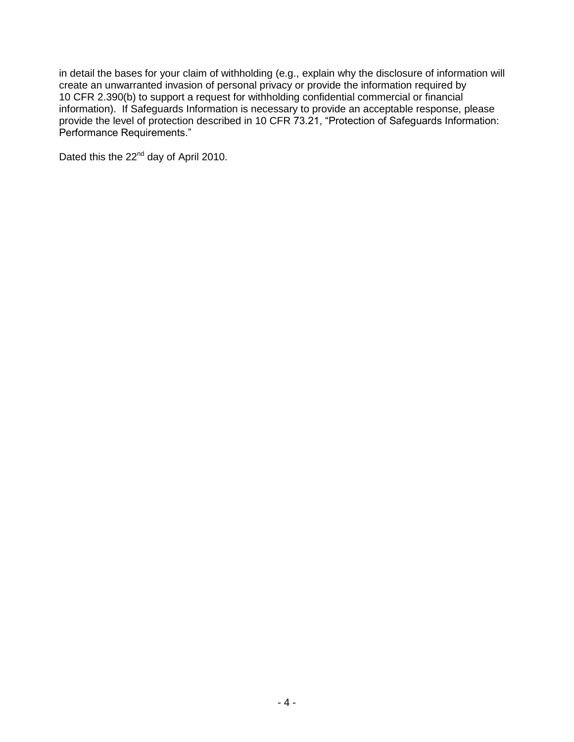in detail the bases for your claim of withholding (e.g., explain why the disclosure of information will create an unwarranted invasion of personal privacy or provide the information required by 10 CFR 2.390(b) to support a request for withholding confidential commercial or financial information). If Safeguards Information is necessary to provide an acceptable response, please provide the level of protection described in 10 CFR 73.21, "Protection of Safeguards Information: Performance Requirements."

Dated this the 22<sup>nd</sup> day of April 2010.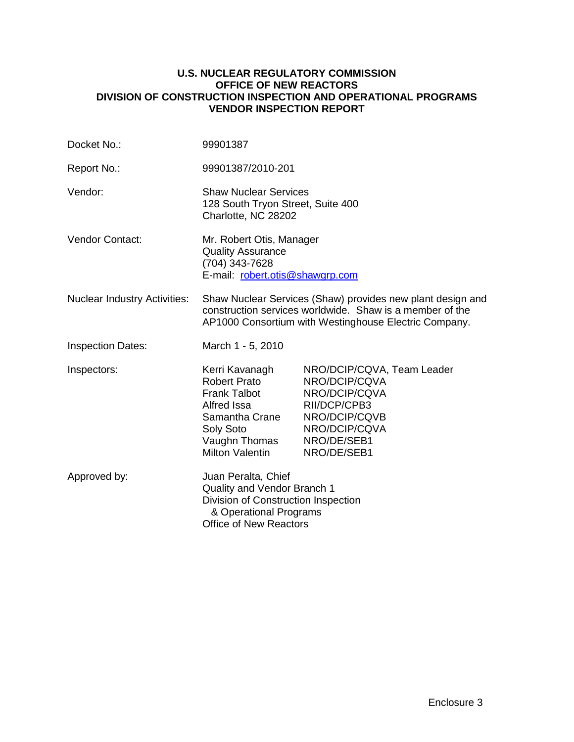#### **U.S. NUCLEAR REGULATORY COMMISSION OFFICE OF NEW REACTORS DIVISION OF CONSTRUCTION INSPECTION AND OPERATIONAL PROGRAMS VENDOR INSPECTION REPORT**

| Docket No.:                         | 99901387                                                                                                                                                                        |                                                                                               |  |  |
|-------------------------------------|---------------------------------------------------------------------------------------------------------------------------------------------------------------------------------|-----------------------------------------------------------------------------------------------|--|--|
| Report No.:                         | 99901387/2010-201                                                                                                                                                               |                                                                                               |  |  |
| Vendor:                             | <b>Shaw Nuclear Services</b><br>128 South Tryon Street, Suite 400<br>Charlotte, NC 28202                                                                                        |                                                                                               |  |  |
| Vendor Contact:                     | Mr. Robert Otis, Manager<br><b>Quality Assurance</b><br>(704) 343-7628<br>E-mail: robert.otis@shawgrp.com                                                                       |                                                                                               |  |  |
| <b>Nuclear Industry Activities:</b> | Shaw Nuclear Services (Shaw) provides new plant design and<br>construction services worldwide. Shaw is a member of the<br>AP1000 Consortium with Westinghouse Electric Company. |                                                                                               |  |  |
| <b>Inspection Dates:</b>            | March 1 - 5, 2010                                                                                                                                                               |                                                                                               |  |  |
| Inspectors:                         | Kerri Kavanagh<br><b>Robert Prato</b>                                                                                                                                           | NRO/DCIP/CQVA, Team Leader<br>NRO/DCIP/CQVA                                                   |  |  |
|                                     | <b>Frank Talbot</b><br><b>Alfred Issa</b><br>Samantha Crane<br>Soly Soto<br>Vaughn Thomas<br><b>Milton Valentin</b>                                                             | NRO/DCIP/CQVA<br>RII/DCP/CPB3<br>NRO/DCIP/CQVB<br>NRO/DCIP/CQVA<br>NRO/DE/SEB1<br>NRO/DE/SEB1 |  |  |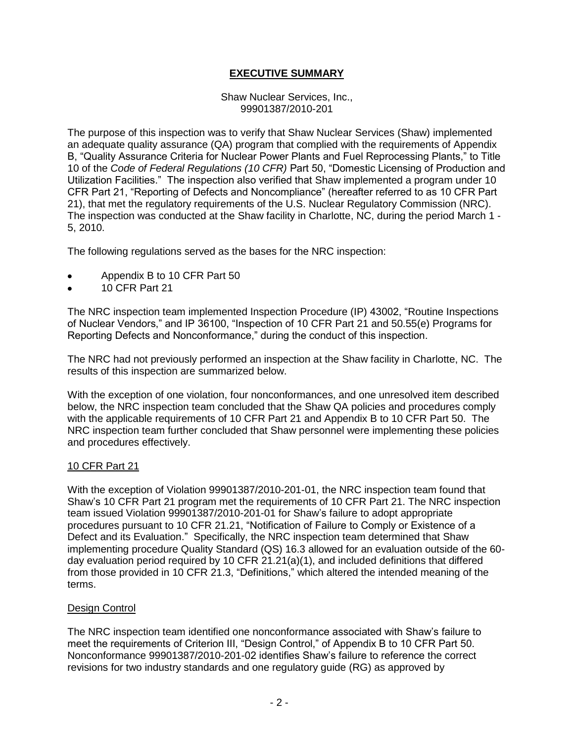# **EXECUTIVE SUMMARY**

#### Shaw Nuclear Services, Inc., 99901387/2010-201

The purpose of this inspection was to verify that Shaw Nuclear Services (Shaw) implemented an adequate quality assurance (QA) program that complied with the requirements of Appendix B, "Quality Assurance Criteria for Nuclear Power Plants and Fuel Reprocessing Plants," to Title 10 of the *Code of Federal Regulations (10 CFR)* Part 50, "Domestic Licensing of Production and Utilization Facilities." The inspection also verified that Shaw implemented a program under 10 CFR Part 21, "Reporting of Defects and Noncompliance" (hereafter referred to as 10 CFR Part 21), that met the regulatory requirements of the U.S. Nuclear Regulatory Commission (NRC). The inspection was conducted at the Shaw facility in Charlotte, NC, during the period March 1 - 5, 2010.

The following regulations served as the bases for the NRC inspection:

- Appendix B to 10 CFR Part 50
- 10 CFR Part 21  $\bullet$

The NRC inspection team implemented Inspection Procedure (IP) 43002, "Routine Inspections of Nuclear Vendors," and IP 36100, "Inspection of 10 CFR Part 21 and 50.55(e) Programs for Reporting Defects and Nonconformance," during the conduct of this inspection.

The NRC had not previously performed an inspection at the Shaw facility in Charlotte, NC. The results of this inspection are summarized below.

With the exception of one violation, four nonconformances, and one unresolved item described below, the NRC inspection team concluded that the Shaw QA policies and procedures comply with the applicable requirements of 10 CFR Part 21 and Appendix B to 10 CFR Part 50. The NRC inspection team further concluded that Shaw personnel were implementing these policies and procedures effectively.

# 10 CFR Part 21

With the exception of Violation 99901387/2010-201-01, the NRC inspection team found that Shaw's 10 CFR Part 21 program met the requirements of 10 CFR Part 21. The NRC inspection team issued Violation 99901387/2010-201-01 for Shaw's failure to adopt appropriate procedures pursuant to 10 CFR 21.21, "Notification of Failure to Comply or Existence of a Defect and its Evaluation." Specifically, the NRC inspection team determined that Shaw implementing procedure Quality Standard (QS) 16.3 allowed for an evaluation outside of the 60 day evaluation period required by 10 CFR 21.21(a)(1), and included definitions that differed from those provided in 10 CFR 21.3, "Definitions," which altered the intended meaning of the terms.

#### Design Control

The NRC inspection team identified one nonconformance associated with Shaw's failure to meet the requirements of Criterion III, "Design Control," of Appendix B to 10 CFR Part 50. Nonconformance 99901387/2010-201-02 identifies Shaw's failure to reference the correct revisions for two industry standards and one regulatory guide (RG) as approved by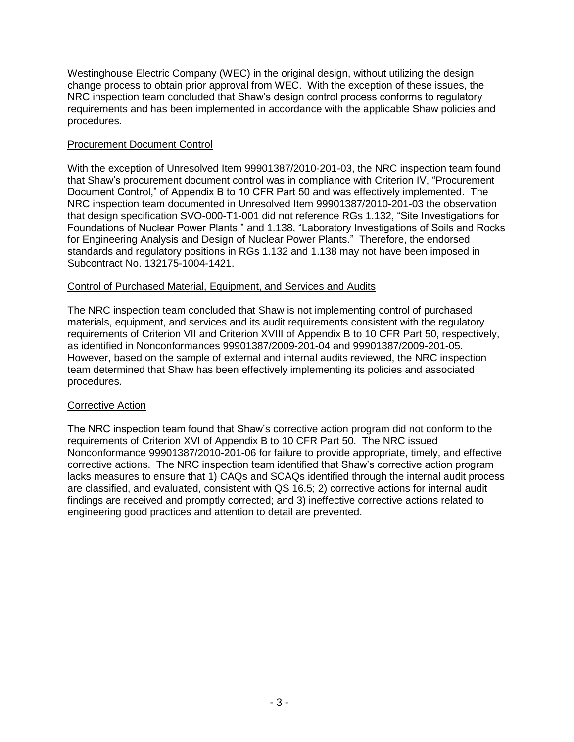Westinghouse Electric Company (WEC) in the original design, without utilizing the design change process to obtain prior approval from WEC. With the exception of these issues, the NRC inspection team concluded that Shaw's design control process conforms to regulatory requirements and has been implemented in accordance with the applicable Shaw policies and procedures.

# Procurement Document Control

With the exception of Unresolved Item 99901387/2010-201-03, the NRC inspection team found that Shaw's procurement document control was in compliance with Criterion IV, "Procurement Document Control," of Appendix B to 10 CFR Part 50 and was effectively implemented. The NRC inspection team documented in Unresolved Item 99901387/2010-201-03 the observation that design specification SVO-000-T1-001 did not reference RGs 1.132, "Site Investigations for Foundations of Nuclear Power Plants," and 1.138, "Laboratory Investigations of Soils and Rocks for Engineering Analysis and Design of Nuclear Power Plants." Therefore, the endorsed standards and regulatory positions in RGs 1.132 and 1.138 may not have been imposed in Subcontract No. 132175-1004-1421.

# Control of Purchased Material, Equipment, and Services and Audits

The NRC inspection team concluded that Shaw is not implementing control of purchased materials, equipment, and services and its audit requirements consistent with the regulatory requirements of Criterion VII and Criterion XVIII of Appendix B to 10 CFR Part 50, respectively, as identified in Nonconformances 99901387/2009-201-04 and 99901387/2009-201-05. However, based on the sample of external and internal audits reviewed, the NRC inspection team determined that Shaw has been effectively implementing its policies and associated procedures.

# Corrective Action

The NRC inspection team found that Shaw's corrective action program did not conform to the requirements of Criterion XVI of Appendix B to 10 CFR Part 50. The NRC issued Nonconformance 99901387/2010-201-06 for failure to provide appropriate, timely, and effective corrective actions. The NRC inspection team identified that Shaw's corrective action program lacks measures to ensure that 1) CAQs and SCAQs identified through the internal audit process are classified, and evaluated, consistent with QS 16.5; 2) corrective actions for internal audit findings are received and promptly corrected; and 3) ineffective corrective actions related to engineering good practices and attention to detail are prevented.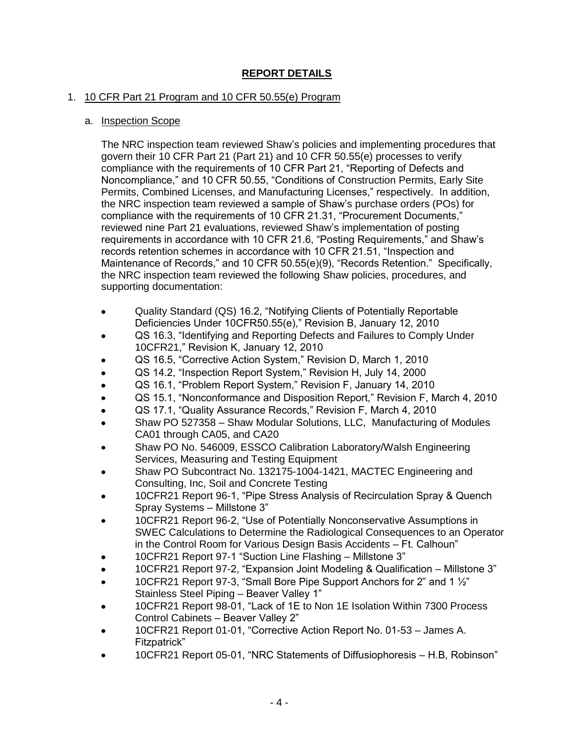# **REPORT DETAILS**

# 1. 10 CFR Part 21 Program and 10 CFR 50.55(e) Program

# a. Inspection Scope

The NRC inspection team reviewed Shaw's policies and implementing procedures that govern their 10 CFR Part 21 (Part 21) and 10 CFR 50.55(e) processes to verify compliance with the requirements of 10 CFR Part 21, "Reporting of Defects and Noncompliance," and 10 CFR 50.55, "Conditions of Construction Permits, Early Site Permits, Combined Licenses, and Manufacturing Licenses," respectively. In addition, the NRC inspection team reviewed a sample of Shaw's purchase orders (POs) for compliance with the requirements of 10 CFR 21.31, "Procurement Documents," reviewed nine Part 21 evaluations, reviewed Shaw's implementation of posting requirements in accordance with 10 CFR 21.6, "Posting Requirements," and Shaw's records retention schemes in accordance with 10 CFR 21.51, "Inspection and Maintenance of Records," and 10 CFR 50.55(e)(9), "Records Retention." Specifically, the NRC inspection team reviewed the following Shaw policies, procedures, and supporting documentation:

- Quality Standard (QS) 16.2, "Notifying Clients of Potentially Reportable  $\bullet$ Deficiencies Under 10CFR50.55(e)," Revision B, January 12, 2010
- QS 16.3, "Identifying and Reporting Defects and Failures to Comply Under  $\bullet$ 10CFR21," Revision K, January 12, 2010
- QS 16.5, "Corrective Action System," Revision D, March 1, 2010
- QS 14.2, "Inspection Report System," Revision H, July 14, 2000  $\bullet$
- QS 16.1, "Problem Report System," Revision F, January 14, 2010
- QS 15.1, "Nonconformance and Disposition Report," Revision F, March 4, 2010
- QS 17.1, "Quality Assurance Records," Revision F, March 4, 2010
- Shaw PO 527358 Shaw Modular Solutions, LLC, Manufacturing of Modules CA01 through CA05, and CA20
- Shaw PO No. 546009, ESSCO Calibration Laboratory/Walsh Engineering Services, Measuring and Testing Equipment
- Shaw PO Subcontract No. 132175-1004-1421, MACTEC Engineering and Consulting, Inc, Soil and Concrete Testing
- 10CFR21 Report 96-1, "Pipe Stress Analysis of Recirculation Spray & Quench Spray Systems – Millstone 3"
- 10CFR21 Report 96-2, "Use of Potentially Nonconservative Assumptions in SWEC Calculations to Determine the Radiological Consequences to an Operator in the Control Room for Various Design Basis Accidents – Ft. Calhoun"
- 10CFR21 Report 97-1 "Suction Line Flashing Millstone 3"
- 10CFR21 Report 97-2, "Expansion Joint Modeling & Qualification Millstone 3"
- 10CFR21 Report 97-3, "Small Bore Pipe Support Anchors for 2" and 1 ½" Stainless Steel Piping – Beaver Valley 1"
- 10CFR21 Report 98-01, "Lack of 1E to Non 1E Isolation Within 7300 Process Control Cabinets – Beaver Valley 2"
- 10CFR21 Report 01-01, "Corrective Action Report No. 01-53 James A. Fitzpatrick"
- 10CFR21 Report 05-01, "NRC Statements of Diffusiophoresis H.B, Robinson"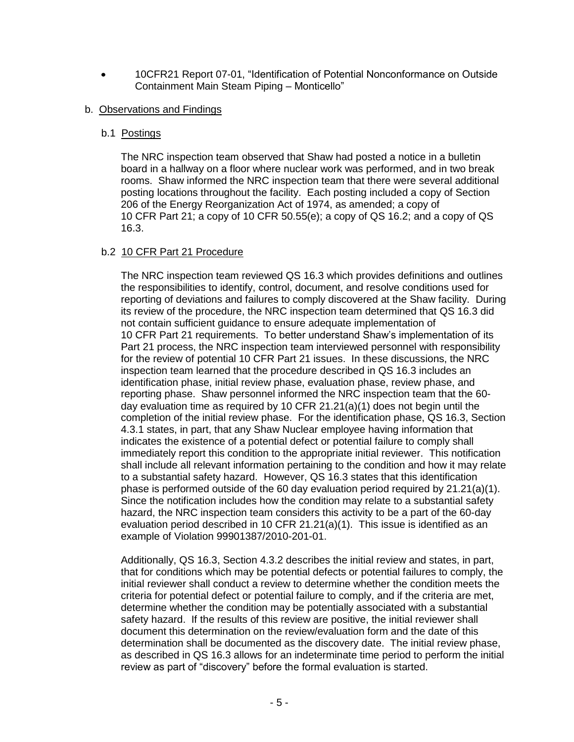10CFR21 Report 07-01, "Identification of Potential Nonconformance on Outside  $\bullet$ Containment Main Steam Piping – Monticello"

# b. Observations and Findings

# b.1 Postings

The NRC inspection team observed that Shaw had posted a notice in a bulletin board in a hallway on a floor where nuclear work was performed, and in two break rooms. Shaw informed the NRC inspection team that there were several additional posting locations throughout the facility. Each posting included a copy of Section 206 of the Energy Reorganization Act of 1974, as amended; a copy of 10 CFR Part 21; a copy of 10 CFR 50.55(e); a copy of QS 16.2; and a copy of QS 16.3.

# b.2 10 CFR Part 21 Procedure

The NRC inspection team reviewed QS 16.3 which provides definitions and outlines the responsibilities to identify, control, document, and resolve conditions used for reporting of deviations and failures to comply discovered at the Shaw facility. During its review of the procedure, the NRC inspection team determined that QS 16.3 did not contain sufficient guidance to ensure adequate implementation of 10 CFR Part 21 requirements. To better understand Shaw's implementation of its Part 21 process, the NRC inspection team interviewed personnel with responsibility for the review of potential 10 CFR Part 21 issues. In these discussions, the NRC inspection team learned that the procedure described in QS 16.3 includes an identification phase, initial review phase, evaluation phase, review phase, and reporting phase. Shaw personnel informed the NRC inspection team that the 60 day evaluation time as required by 10 CFR 21.21(a)(1) does not begin until the completion of the initial review phase. For the identification phase, QS 16.3, Section 4.3.1 states, in part, that any Shaw Nuclear employee having information that indicates the existence of a potential defect or potential failure to comply shall immediately report this condition to the appropriate initial reviewer. This notification shall include all relevant information pertaining to the condition and how it may relate to a substantial safety hazard. However, QS 16.3 states that this identification phase is performed outside of the 60 day evaluation period required by 21.21(a)(1). Since the notification includes how the condition may relate to a substantial safety hazard, the NRC inspection team considers this activity to be a part of the 60-day evaluation period described in 10 CFR 21.21(a)(1). This issue is identified as an example of Violation 99901387/2010-201-01.

Additionally, QS 16.3, Section 4.3.2 describes the initial review and states, in part, that for conditions which may be potential defects or potential failures to comply, the initial reviewer shall conduct a review to determine whether the condition meets the criteria for potential defect or potential failure to comply, and if the criteria are met, determine whether the condition may be potentially associated with a substantial safety hazard. If the results of this review are positive, the initial reviewer shall document this determination on the review/evaluation form and the date of this determination shall be documented as the discovery date. The initial review phase, as described in QS 16.3 allows for an indeterminate time period to perform the initial review as part of "discovery" before the formal evaluation is started.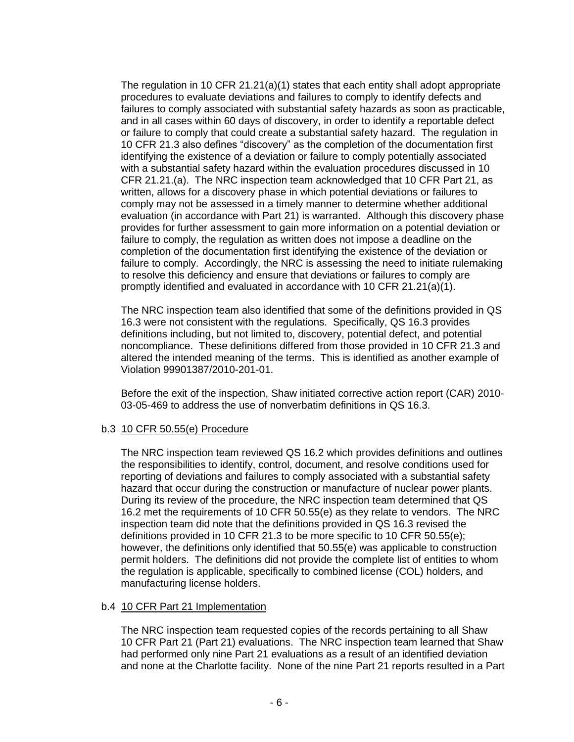The regulation in 10 CFR 21.21(a)(1) states that each entity shall adopt appropriate procedures to evaluate deviations and failures to comply to identify defects and failures to comply associated with substantial safety hazards as soon as practicable, and in all cases within 60 days of discovery, in order to identify a reportable defect or failure to comply that could create a substantial safety hazard. The regulation in 10 CFR 21.3 also defines "discovery" as the completion of the documentation first identifying the existence of a deviation or failure to comply potentially associated with a substantial safety hazard within the evaluation procedures discussed in 10 CFR 21.21.(a). The NRC inspection team acknowledged that 10 CFR Part 21, as written, allows for a discovery phase in which potential deviations or failures to comply may not be assessed in a timely manner to determine whether additional evaluation (in accordance with Part 21) is warranted. Although this discovery phase provides for further assessment to gain more information on a potential deviation or failure to comply, the regulation as written does not impose a deadline on the completion of the documentation first identifying the existence of the deviation or failure to comply. Accordingly, the NRC is assessing the need to initiate rulemaking to resolve this deficiency and ensure that deviations or failures to comply are promptly identified and evaluated in accordance with 10 CFR 21.21(a)(1).

The NRC inspection team also identified that some of the definitions provided in QS 16.3 were not consistent with the regulations. Specifically, QS 16.3 provides definitions including, but not limited to, discovery, potential defect, and potential noncompliance. These definitions differed from those provided in 10 CFR 21.3 and altered the intended meaning of the terms. This is identified as another example of Violation 99901387/2010-201-01.

Before the exit of the inspection, Shaw initiated corrective action report (CAR) 2010- 03-05-469 to address the use of nonverbatim definitions in QS 16.3.

# b.3 10 CFR 50.55(e) Procedure

The NRC inspection team reviewed QS 16.2 which provides definitions and outlines the responsibilities to identify, control, document, and resolve conditions used for reporting of deviations and failures to comply associated with a substantial safety hazard that occur during the construction or manufacture of nuclear power plants. During its review of the procedure, the NRC inspection team determined that QS 16.2 met the requirements of 10 CFR 50.55(e) as they relate to vendors. The NRC inspection team did note that the definitions provided in QS 16.3 revised the definitions provided in 10 CFR 21.3 to be more specific to 10 CFR 50.55(e); however, the definitions only identified that 50.55(e) was applicable to construction permit holders. The definitions did not provide the complete list of entities to whom the regulation is applicable, specifically to combined license (COL) holders, and manufacturing license holders.

# b.4 10 CFR Part 21 Implementation

The NRC inspection team requested copies of the records pertaining to all Shaw 10 CFR Part 21 (Part 21) evaluations. The NRC inspection team learned that Shaw had performed only nine Part 21 evaluations as a result of an identified deviation and none at the Charlotte facility. None of the nine Part 21 reports resulted in a Part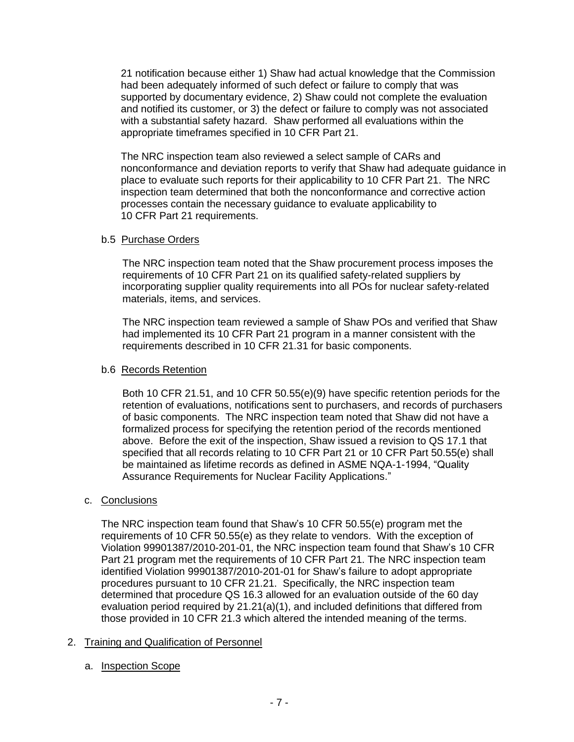21 notification because either 1) Shaw had actual knowledge that the Commission had been adequately informed of such defect or failure to comply that was supported by documentary evidence, 2) Shaw could not complete the evaluation and notified its customer, or 3) the defect or failure to comply was not associated with a substantial safety hazard. Shaw performed all evaluations within the appropriate timeframes specified in 10 CFR Part 21.

The NRC inspection team also reviewed a select sample of CARs and nonconformance and deviation reports to verify that Shaw had adequate guidance in place to evaluate such reports for their applicability to 10 CFR Part 21. The NRC inspection team determined that both the nonconformance and corrective action processes contain the necessary guidance to evaluate applicability to 10 CFR Part 21 requirements.

# b.5 Purchase Orders

The NRC inspection team noted that the Shaw procurement process imposes the requirements of 10 CFR Part 21 on its qualified safety-related suppliers by incorporating supplier quality requirements into all POs for nuclear safety-related materials, items, and services.

The NRC inspection team reviewed a sample of Shaw POs and verified that Shaw had implemented its 10 CFR Part 21 program in a manner consistent with the requirements described in 10 CFR 21.31 for basic components.

# b.6 Records Retention

Both 10 CFR 21.51, and 10 CFR 50.55(e)(9) have specific retention periods for the retention of evaluations, notifications sent to purchasers, and records of purchasers of basic components. The NRC inspection team noted that Shaw did not have a formalized process for specifying the retention period of the records mentioned above. Before the exit of the inspection, Shaw issued a revision to QS 17.1 that specified that all records relating to 10 CFR Part 21 or 10 CFR Part 50.55(e) shall be maintained as lifetime records as defined in ASME NQA-1-1994, "Quality Assurance Requirements for Nuclear Facility Applications."

# c. Conclusions

The NRC inspection team found that Shaw's 10 CFR 50.55(e) program met the requirements of 10 CFR 50.55(e) as they relate to vendors. With the exception of Violation 99901387/2010-201-01, the NRC inspection team found that Shaw's 10 CFR Part 21 program met the requirements of 10 CFR Part 21. The NRC inspection team identified Violation 99901387/2010-201-01 for Shaw's failure to adopt appropriate procedures pursuant to 10 CFR 21.21. Specifically, the NRC inspection team determined that procedure QS 16.3 allowed for an evaluation outside of the 60 day evaluation period required by 21.21(a)(1), and included definitions that differed from those provided in 10 CFR 21.3 which altered the intended meaning of the terms.

# 2. Training and Qualification of Personnel

a. Inspection Scope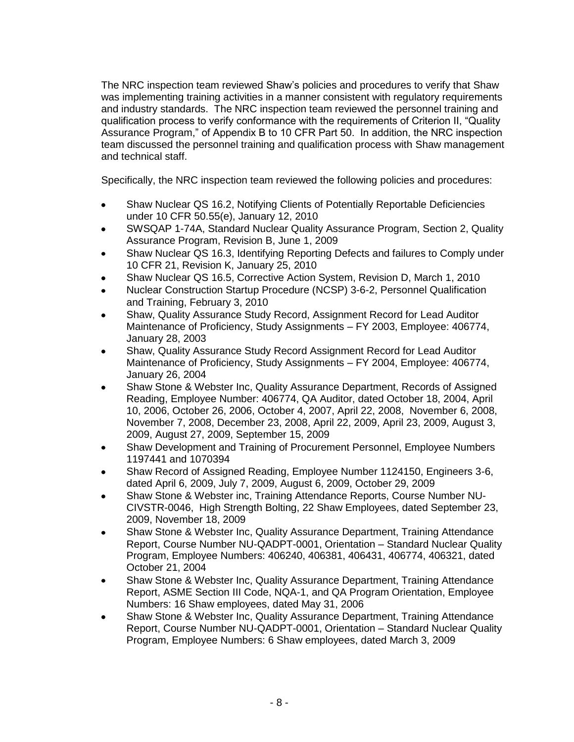The NRC inspection team reviewed Shaw's policies and procedures to verify that Shaw was implementing training activities in a manner consistent with regulatory requirements and industry standards. The NRC inspection team reviewed the personnel training and qualification process to verify conformance with the requirements of Criterion II, "Quality Assurance Program," of Appendix B to 10 CFR Part 50. In addition, the NRC inspection team discussed the personnel training and qualification process with Shaw management and technical staff.

Specifically, the NRC inspection team reviewed the following policies and procedures:

- Shaw Nuclear QS 16.2, Notifying Clients of Potentially Reportable Deficiencies  $\bullet$ under 10 CFR 50.55(e), January 12, 2010
- SWSQAP 1-74A, Standard Nuclear Quality Assurance Program, Section 2, Quality Assurance Program, Revision B, June 1, 2009
- Shaw Nuclear QS 16.3, Identifying Reporting Defects and failures to Comply under 10 CFR 21, Revision K, January 25, 2010
- Shaw Nuclear QS 16.5, Corrective Action System, Revision D, March 1, 2010
- Nuclear Construction Startup Procedure (NCSP) 3-6-2, Personnel Qualification and Training, February 3, 2010
- Shaw, Quality Assurance Study Record, Assignment Record for Lead Auditor Maintenance of Proficiency, Study Assignments – FY 2003, Employee: 406774, January 28, 2003
- Shaw, Quality Assurance Study Record Assignment Record for Lead Auditor Maintenance of Proficiency, Study Assignments – FY 2004, Employee: 406774, January 26, 2004
- Shaw Stone & Webster Inc, Quality Assurance Department, Records of Assigned Reading, Employee Number: 406774, QA Auditor, dated October 18, 2004, April 10, 2006, October 26, 2006, October 4, 2007, April 22, 2008, November 6, 2008, November 7, 2008, December 23, 2008, April 22, 2009, April 23, 2009, August 3, 2009, August 27, 2009, September 15, 2009
- Shaw Development and Training of Procurement Personnel, Employee Numbers 1197441 and 1070394
- Shaw Record of Assigned Reading, Employee Number 1124150, Engineers 3-6, dated April 6, 2009, July 7, 2009, August 6, 2009, October 29, 2009
- Shaw Stone & Webster inc, Training Attendance Reports, Course Number NU-CIVSTR-0046, High Strength Bolting, 22 Shaw Employees, dated September 23, 2009, November 18, 2009
- Shaw Stone & Webster Inc, Quality Assurance Department, Training Attendance Report, Course Number NU-QADPT-0001, Orientation – Standard Nuclear Quality Program, Employee Numbers: 406240, 406381, 406431, 406774, 406321, dated October 21, 2004
- Shaw Stone & Webster Inc, Quality Assurance Department, Training Attendance  $\bullet$ Report, ASME Section III Code, NQA-1, and QA Program Orientation, Employee Numbers: 16 Shaw employees, dated May 31, 2006
- Shaw Stone & Webster Inc, Quality Assurance Department, Training Attendance Report, Course Number NU-QADPT-0001, Orientation – Standard Nuclear Quality Program, Employee Numbers: 6 Shaw employees, dated March 3, 2009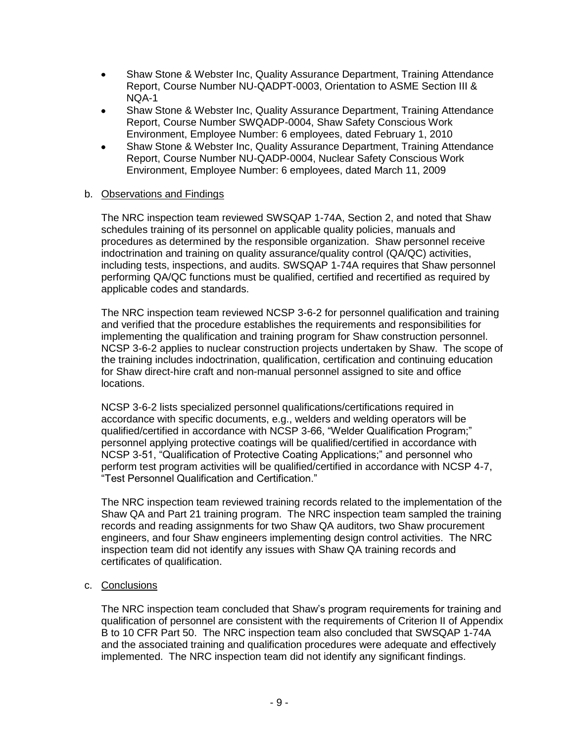- Shaw Stone & Webster Inc, Quality Assurance Department, Training Attendance  $\bullet$ Report, Course Number NU-QADPT-0003, Orientation to ASME Section III & NQA-1
- Shaw Stone & Webster Inc, Quality Assurance Department, Training Attendance Report, Course Number SWQADP-0004, Shaw Safety Conscious Work Environment, Employee Number: 6 employees, dated February 1, 2010
- Shaw Stone & Webster Inc, Quality Assurance Department, Training Attendance Report, Course Number NU-QADP-0004, Nuclear Safety Conscious Work Environment, Employee Number: 6 employees, dated March 11, 2009

# b. Observations and Findings

The NRC inspection team reviewed SWSQAP 1-74A, Section 2, and noted that Shaw schedules training of its personnel on applicable quality policies, manuals and procedures as determined by the responsible organization. Shaw personnel receive indoctrination and training on quality assurance/quality control (QA/QC) activities, including tests, inspections, and audits. SWSQAP 1-74A requires that Shaw personnel performing QA/QC functions must be qualified, certified and recertified as required by applicable codes and standards.

The NRC inspection team reviewed NCSP 3-6-2 for personnel qualification and training and verified that the procedure establishes the requirements and responsibilities for implementing the qualification and training program for Shaw construction personnel. NCSP 3-6-2 applies to nuclear construction projects undertaken by Shaw. The scope of the training includes indoctrination, qualification, certification and continuing education for Shaw direct-hire craft and non-manual personnel assigned to site and office locations.

NCSP 3-6-2 lists specialized personnel qualifications/certifications required in accordance with specific documents, e.g., welders and welding operators will be qualified/certified in accordance with NCSP 3-66, "Welder Qualification Program;" personnel applying protective coatings will be qualified/certified in accordance with NCSP 3-51, "Qualification of Protective Coating Applications;" and personnel who perform test program activities will be qualified/certified in accordance with NCSP 4-7, "Test Personnel Qualification and Certification."

The NRC inspection team reviewed training records related to the implementation of the Shaw QA and Part 21 training program. The NRC inspection team sampled the training records and reading assignments for two Shaw QA auditors, two Shaw procurement engineers, and four Shaw engineers implementing design control activities. The NRC inspection team did not identify any issues with Shaw QA training records and certificates of qualification.

c. Conclusions

The NRC inspection team concluded that Shaw's program requirements for training and qualification of personnel are consistent with the requirements of Criterion II of Appendix B to 10 CFR Part 50. The NRC inspection team also concluded that SWSQAP 1-74A and the associated training and qualification procedures were adequate and effectively implemented. The NRC inspection team did not identify any significant findings.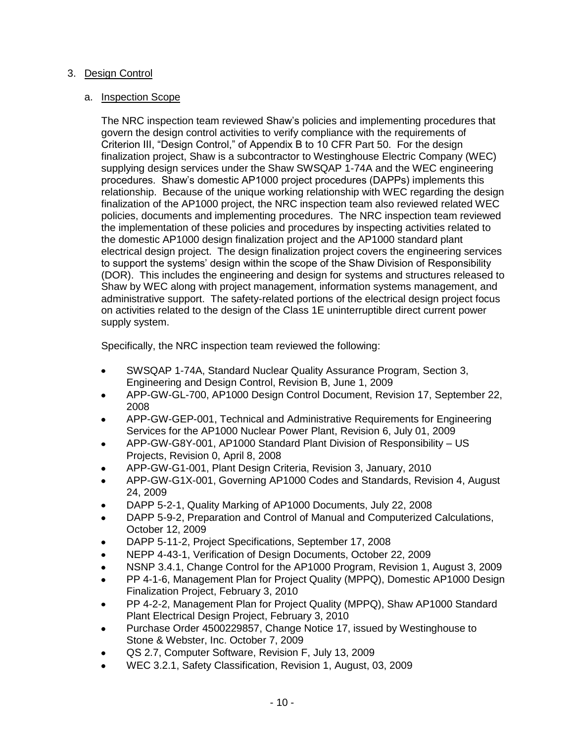# 3. Design Control

# a. Inspection Scope

The NRC inspection team reviewed Shaw's policies and implementing procedures that govern the design control activities to verify compliance with the requirements of Criterion III, "Design Control," of Appendix B to 10 CFR Part 50. For the design finalization project, Shaw is a subcontractor to Westinghouse Electric Company (WEC) supplying design services under the Shaw SWSQAP 1-74A and the WEC engineering procedures. Shaw's domestic AP1000 project procedures (DAPPs) implements this relationship. Because of the unique working relationship with WEC regarding the design finalization of the AP1000 project, the NRC inspection team also reviewed related WEC policies, documents and implementing procedures. The NRC inspection team reviewed the implementation of these policies and procedures by inspecting activities related to the domestic AP1000 design finalization project and the AP1000 standard plant electrical design project. The design finalization project covers the engineering services to support the systems' design within the scope of the Shaw Division of Responsibility (DOR). This includes the engineering and design for systems and structures released to Shaw by WEC along with project management, information systems management, and administrative support. The safety-related portions of the electrical design project focus on activities related to the design of the Class 1E uninterruptible direct current power supply system.

Specifically, the NRC inspection team reviewed the following:

- SWSQAP 1-74A, Standard Nuclear Quality Assurance Program, Section 3, Engineering and Design Control, Revision B, June 1, 2009
- APP-GW-GL-700, AP1000 Design Control Document, Revision 17, September 22, 2008
- APP-GW-GEP-001, Technical and Administrative Requirements for Engineering Services for the AP1000 Nuclear Power Plant, Revision 6, July 01, 2009
- APP-GW-G8Y-001, AP1000 Standard Plant Division of Responsibility US Projects, Revision 0, April 8, 2008
- APP-GW-G1-001, Plant Design Criteria, Revision 3, January, 2010
- APP-GW-G1X-001, Governing AP1000 Codes and Standards, Revision 4, August  $\bullet$ 24, 2009
- DAPP 5-2-1, Quality Marking of AP1000 Documents, July 22, 2008
- DAPP 5-9-2, Preparation and Control of Manual and Computerized Calculations, October 12, 2009
- DAPP 5-11-2, Project Specifications, September 17, 2008
- NEPP 4-43-1, Verification of Design Documents, October 22, 2009
- NSNP 3.4.1, Change Control for the AP1000 Program, Revision 1, August 3, 2009
- PP 4-1-6, Management Plan for Project Quality (MPPQ), Domestic AP1000 Design Finalization Project, February 3, 2010
- PP 4-2-2, Management Plan for Project Quality (MPPQ), Shaw AP1000 Standard Plant Electrical Design Project, February 3, 2010
- Purchase Order 4500229857, Change Notice 17, issued by Westinghouse to Stone & Webster, Inc. October 7, 2009
- QS 2.7, Computer Software, Revision F, July 13, 2009
- WEC 3.2.1, Safety Classification, Revision 1, August, 03, 2009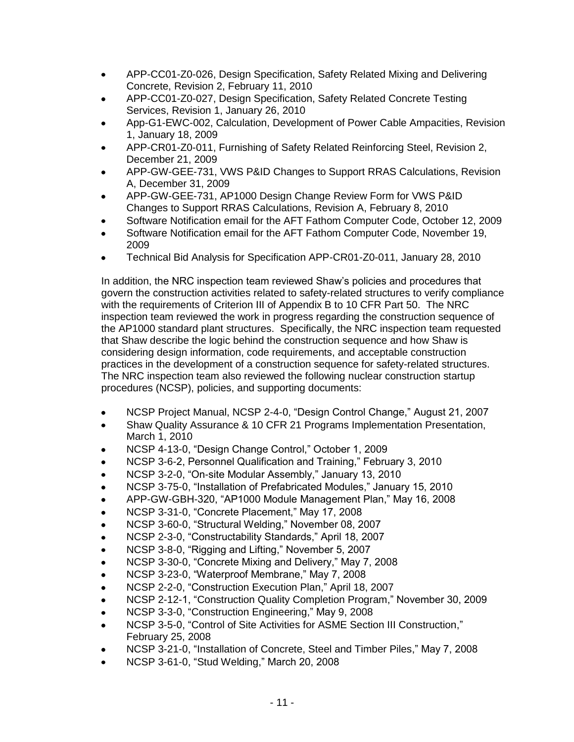- APP-CC01-Z0-026, Design Specification, Safety Related Mixing and Delivering  $\bullet$ Concrete, Revision 2, February 11, 2010
- APP-CC01-Z0-027, Design Specification, Safety Related Concrete Testing Services, Revision 1, January 26, 2010
- App-G1-EWC-002, Calculation, Development of Power Cable Ampacities, Revision 1, January 18, 2009
- APP-CR01-Z0-011, Furnishing of Safety Related Reinforcing Steel, Revision 2, December 21, 2009
- APP-GW-GEE-731, VWS P&ID Changes to Support RRAS Calculations, Revision A, December 31, 2009
- APP-GW-GEE-731, AP1000 Design Change Review Form for VWS P&ID Changes to Support RRAS Calculations, Revision A, February 8, 2010
- Software Notification email for the AFT Fathom Computer Code, October 12, 2009
- Software Notification email for the AFT Fathom Computer Code, November 19, 2009
- Technical Bid Analysis for Specification APP-CR01-Z0-011, January 28, 2010

In addition, the NRC inspection team reviewed Shaw's policies and procedures that govern the construction activities related to safety-related structures to verify compliance with the requirements of Criterion III of Appendix B to 10 CFR Part 50. The NRC inspection team reviewed the work in progress regarding the construction sequence of the AP1000 standard plant structures. Specifically, the NRC inspection team requested that Shaw describe the logic behind the construction sequence and how Shaw is considering design information, code requirements, and acceptable construction practices in the development of a construction sequence for safety-related structures. The NRC inspection team also reviewed the following nuclear construction startup procedures (NCSP), policies, and supporting documents:

- NCSP Project Manual, NCSP 2-4-0, "Design Control Change," August 21, 2007  $\bullet$
- Shaw Quality Assurance & 10 CFR 21 Programs Implementation Presentation, March 1, 2010
- NCSP 4-13-0, "Design Change Control," October 1, 2009
- NCSP 3-6-2, Personnel Qualification and Training," February 3, 2010  $\bullet$
- NCSP 3-2-0, "On-site Modular Assembly," January 13, 2010
- NCSP 3-75-0, "Installation of Prefabricated Modules," January 15, 2010
- APP-GW-GBH-320, "AP1000 Module Management Plan," May 16, 2008
- NCSP 3-31-0, "Concrete Placement," May 17, 2008
- NCSP 3-60-0, "Structural Welding," November 08, 2007
- NCSP 2-3-0, "Constructability Standards," April 18, 2007
- NCSP 3-8-0, "Rigging and Lifting," November 5, 2007
- NCSP 3-30-0, "Concrete Mixing and Delivery," May 7, 2008
- NCSP 3-23-0, "Waterproof Membrane," May 7, 2008
- NCSP 2-2-0, "Construction Execution Plan," April 18, 2007
- NCSP 2-12-1, "Construction Quality Completion Program," November 30, 2009  $\bullet$
- NCSP 3-3-0, "Construction Engineering," May 9, 2008
- NCSP 3-5-0, "Control of Site Activities for ASME Section III Construction," February 25, 2008
- NCSP 3-21-0, "Installation of Concrete, Steel and Timber Piles," May 7, 2008
- NCSP 3-61-0, "Stud Welding," March 20, 2008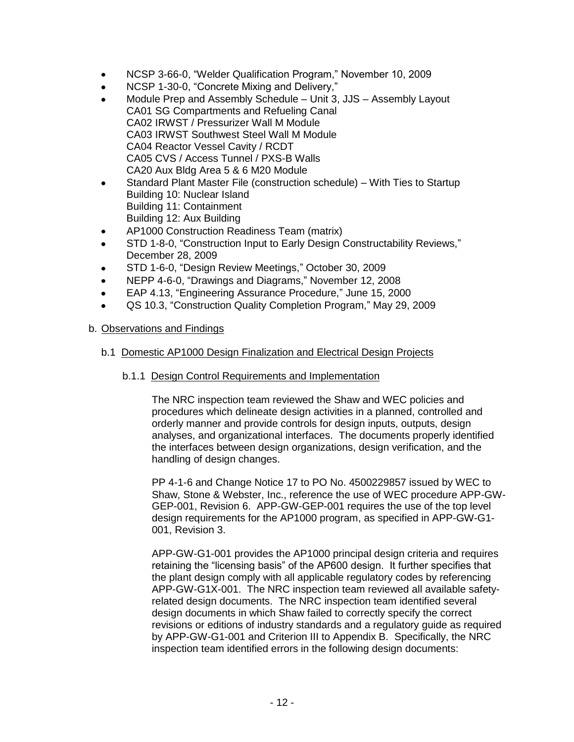- NCSP 3-66-0, "Welder Qualification Program," November 10, 2009  $\bullet$
- $\bullet$ NCSP 1-30-0, "Concrete Mixing and Delivery,"
- Module Prep and Assembly Schedule Unit 3, JJS Assembly Layout CA01 SG Compartments and Refueling Canal CA02 IRWST / Pressurizer Wall M Module CA03 IRWST Southwest Steel Wall M Module CA04 Reactor Vessel Cavity / RCDT CA05 CVS / Access Tunnel / PXS-B Walls CA20 Aux Bldg Area 5 & 6 M20 Module
- Standard Plant Master File (construction schedule) With Ties to Startup  $\bullet$ Building 10: Nuclear Island Building 11: Containment Building 12: Aux Building
- AP1000 Construction Readiness Team (matrix)
- STD 1-8-0, "Construction Input to Early Design Constructability Reviews,"  $\bullet$ December 28, 2009
- STD 1-6-0, "Design Review Meetings," October 30, 2009
- NEPP 4-6-0, "Drawings and Diagrams," November 12, 2008
- EAP 4.13, "Engineering Assurance Procedure," June 15, 2000  $\bullet$
- QS 10.3, "Construction Quality Completion Program," May 29, 2009

# b. Observations and Findings

# b.1 Domestic AP1000 Design Finalization and Electrical Design Projects

### b.1.1 Design Control Requirements and Implementation

The NRC inspection team reviewed the Shaw and WEC policies and procedures which delineate design activities in a planned, controlled and orderly manner and provide controls for design inputs, outputs, design analyses, and organizational interfaces. The documents properly identified the interfaces between design organizations, design verification, and the handling of design changes.

PP 4-1-6 and Change Notice 17 to PO No. 4500229857 issued by WEC to Shaw, Stone & Webster, Inc., reference the use of WEC procedure APP-GW-GEP-001, Revision 6. APP-GW-GEP-001 requires the use of the top level design requirements for the AP1000 program, as specified in APP-GW-G1- 001, Revision 3.

APP-GW-G1-001 provides the AP1000 principal design criteria and requires retaining the "licensing basis" of the AP600 design. It further specifies that the plant design comply with all applicable regulatory codes by referencing APP-GW-G1X-001. The NRC inspection team reviewed all available safetyrelated design documents. The NRC inspection team identified several design documents in which Shaw failed to correctly specify the correct revisions or editions of industry standards and a regulatory guide as required by APP-GW-G1-001 and Criterion III to Appendix B. Specifically, the NRC inspection team identified errors in the following design documents: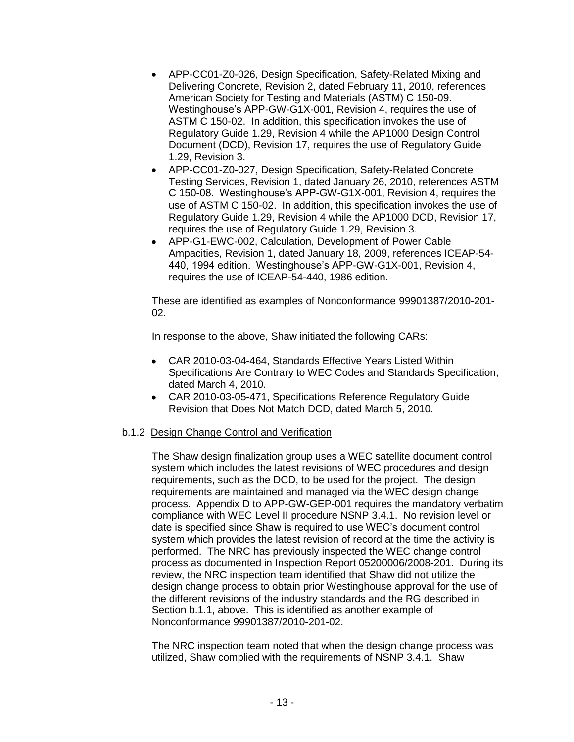- APP-CC01-Z0-026, Design Specification, Safety-Related Mixing and Delivering Concrete, Revision 2, dated February 11, 2010, references American Society for Testing and Materials (ASTM) C 150-09. Westinghouse's APP-GW-G1X-001, Revision 4, requires the use of ASTM C 150-02. In addition, this specification invokes the use of Regulatory Guide 1.29, Revision 4 while the AP1000 Design Control Document (DCD), Revision 17, requires the use of Regulatory Guide 1.29, Revision 3.
- APP-CC01-Z0-027, Design Specification, Safety-Related Concrete Testing Services, Revision 1, dated January 26, 2010, references ASTM C 150-08. Westinghouse's APP-GW-G1X-001, Revision 4, requires the use of ASTM C 150-02. In addition, this specification invokes the use of Regulatory Guide 1.29, Revision 4 while the AP1000 DCD, Revision 17, requires the use of Regulatory Guide 1.29, Revision 3.
- APP-G1-EWC-002, Calculation, Development of Power Cable Ampacities, Revision 1, dated January 18, 2009, references ICEAP-54- 440, 1994 edition. Westinghouse's APP-GW-G1X-001, Revision 4, requires the use of ICEAP-54-440, 1986 edition.

These are identified as examples of Nonconformance 99901387/2010-201- 02.

In response to the above, Shaw initiated the following CARs:

- CAR 2010-03-04-464, Standards Effective Years Listed Within Specifications Are Contrary to WEC Codes and Standards Specification, dated March 4, 2010.
- CAR 2010-03-05-471, Specifications Reference Regulatory Guide Revision that Does Not Match DCD, dated March 5, 2010.

# b.1.2 Design Change Control and Verification

The Shaw design finalization group uses a WEC satellite document control system which includes the latest revisions of WEC procedures and design requirements, such as the DCD, to be used for the project. The design requirements are maintained and managed via the WEC design change process. Appendix D to APP-GW-GEP-001 requires the mandatory verbatim compliance with WEC Level II procedure NSNP 3.4.1. No revision level or date is specified since Shaw is required to use WEC's document control system which provides the latest revision of record at the time the activity is performed. The NRC has previously inspected the WEC change control process as documented in Inspection Report 05200006/2008-201. During its review, the NRC inspection team identified that Shaw did not utilize the design change process to obtain prior Westinghouse approval for the use of the different revisions of the industry standards and the RG described in Section b.1.1, above. This is identified as another example of Nonconformance 99901387/2010-201-02.

The NRC inspection team noted that when the design change process was utilized, Shaw complied with the requirements of NSNP 3.4.1. Shaw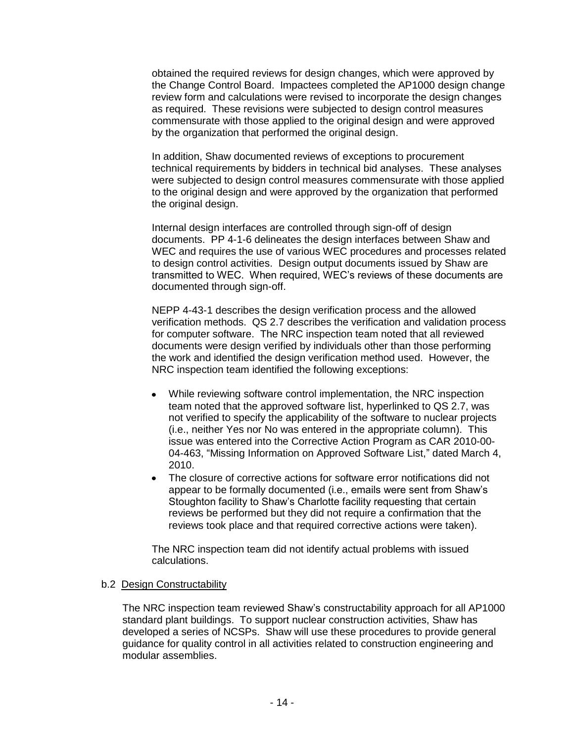obtained the required reviews for design changes, which were approved by the Change Control Board. Impactees completed the AP1000 design change review form and calculations were revised to incorporate the design changes as required. These revisions were subjected to design control measures commensurate with those applied to the original design and were approved by the organization that performed the original design.

In addition, Shaw documented reviews of exceptions to procurement technical requirements by bidders in technical bid analyses. These analyses were subjected to design control measures commensurate with those applied to the original design and were approved by the organization that performed the original design.

Internal design interfaces are controlled through sign-off of design documents. PP 4-1-6 delineates the design interfaces between Shaw and WEC and requires the use of various WEC procedures and processes related to design control activities. Design output documents issued by Shaw are transmitted to WEC. When required, WEC's reviews of these documents are documented through sign-off.

NEPP 4-43-1 describes the design verification process and the allowed verification methods. QS 2.7 describes the verification and validation process for computer software. The NRC inspection team noted that all reviewed documents were design verified by individuals other than those performing the work and identified the design verification method used. However, the NRC inspection team identified the following exceptions:

- While reviewing software control implementation, the NRC inspection team noted that the approved software list, hyperlinked to QS 2.7, was not verified to specify the applicability of the software to nuclear projects (i.e., neither Yes nor No was entered in the appropriate column). This issue was entered into the Corrective Action Program as CAR 2010-00- 04-463, "Missing Information on Approved Software List," dated March 4, 2010.
- $\bullet$ The closure of corrective actions for software error notifications did not appear to be formally documented (i.e., emails were sent from Shaw's Stoughton facility to Shaw's Charlotte facility requesting that certain reviews be performed but they did not require a confirmation that the reviews took place and that required corrective actions were taken).

The NRC inspection team did not identify actual problems with issued calculations.

#### b.2 Design Constructability

The NRC inspection team reviewed Shaw's constructability approach for all AP1000 standard plant buildings. To support nuclear construction activities, Shaw has developed a series of NCSPs. Shaw will use these procedures to provide general guidance for quality control in all activities related to construction engineering and modular assemblies.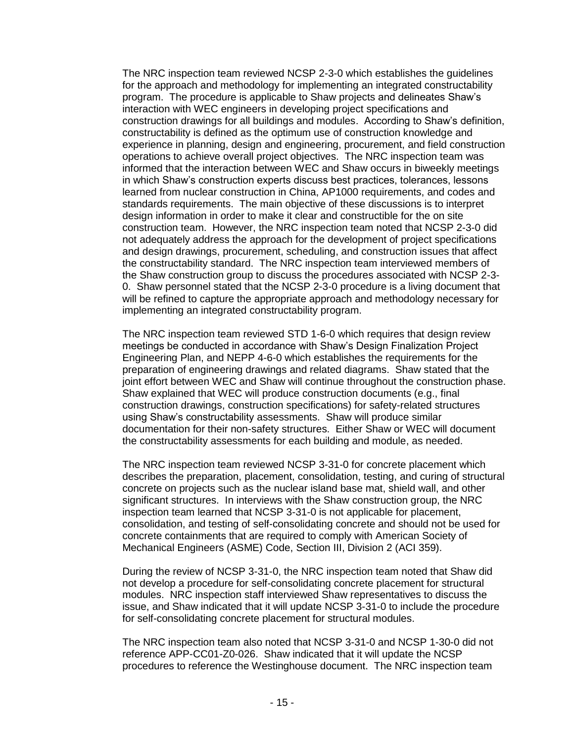The NRC inspection team reviewed NCSP 2-3-0 which establishes the guidelines for the approach and methodology for implementing an integrated constructability program. The procedure is applicable to Shaw projects and delineates Shaw's interaction with WEC engineers in developing project specifications and construction drawings for all buildings and modules. According to Shaw's definition, constructability is defined as the optimum use of construction knowledge and experience in planning, design and engineering, procurement, and field construction operations to achieve overall project objectives. The NRC inspection team was informed that the interaction between WEC and Shaw occurs in biweekly meetings in which Shaw's construction experts discuss best practices, tolerances, lessons learned from nuclear construction in China, AP1000 requirements, and codes and standards requirements. The main objective of these discussions is to interpret design information in order to make it clear and constructible for the on site construction team. However, the NRC inspection team noted that NCSP 2-3-0 did not adequately address the approach for the development of project specifications and design drawings, procurement, scheduling, and construction issues that affect the constructability standard. The NRC inspection team interviewed members of the Shaw construction group to discuss the procedures associated with NCSP 2-3- 0. Shaw personnel stated that the NCSP 2-3-0 procedure is a living document that will be refined to capture the appropriate approach and methodology necessary for implementing an integrated constructability program.

The NRC inspection team reviewed STD 1-6-0 which requires that design review meetings be conducted in accordance with Shaw's Design Finalization Project Engineering Plan, and NEPP 4-6-0 which establishes the requirements for the preparation of engineering drawings and related diagrams. Shaw stated that the joint effort between WEC and Shaw will continue throughout the construction phase. Shaw explained that WEC will produce construction documents (e.g., final construction drawings, construction specifications) for safety-related structures using Shaw's constructability assessments. Shaw will produce similar documentation for their non-safety structures. Either Shaw or WEC will document the constructability assessments for each building and module, as needed.

The NRC inspection team reviewed NCSP 3-31-0 for concrete placement which describes the preparation, placement, consolidation, testing, and curing of structural concrete on projects such as the nuclear island base mat, shield wall, and other significant structures. In interviews with the Shaw construction group, the NRC inspection team learned that NCSP 3-31-0 is not applicable for placement, consolidation, and testing of self-consolidating concrete and should not be used for concrete containments that are required to comply with American Society of Mechanical Engineers (ASME) Code, Section III, Division 2 (ACI 359).

During the review of NCSP 3-31-0, the NRC inspection team noted that Shaw did not develop a procedure for self-consolidating concrete placement for structural modules. NRC inspection staff interviewed Shaw representatives to discuss the issue, and Shaw indicated that it will update NCSP 3-31-0 to include the procedure for self-consolidating concrete placement for structural modules.

The NRC inspection team also noted that NCSP 3-31-0 and NCSP 1-30-0 did not reference APP-CC01-Z0-026. Shaw indicated that it will update the NCSP procedures to reference the Westinghouse document. The NRC inspection team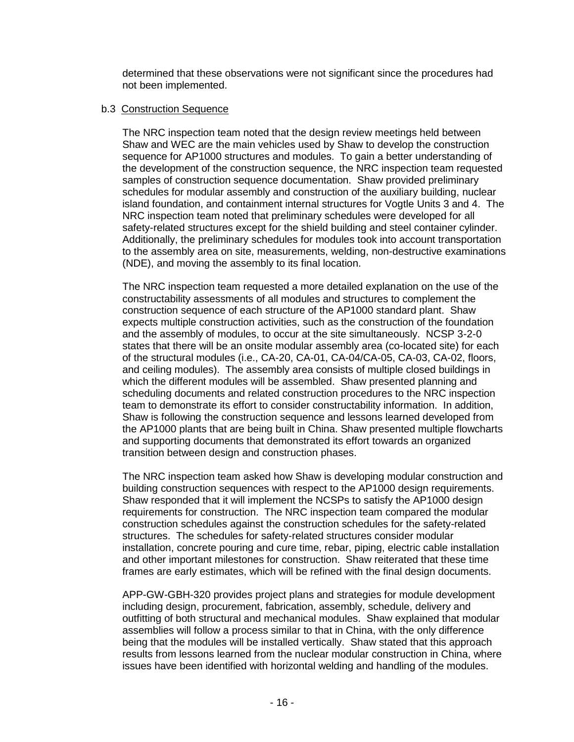determined that these observations were not significant since the procedures had not been implemented.

#### b.3 Construction Sequence

The NRC inspection team noted that the design review meetings held between Shaw and WEC are the main vehicles used by Shaw to develop the construction sequence for AP1000 structures and modules. To gain a better understanding of the development of the construction sequence, the NRC inspection team requested samples of construction sequence documentation. Shaw provided preliminary schedules for modular assembly and construction of the auxiliary building, nuclear island foundation, and containment internal structures for Vogtle Units 3 and 4. The NRC inspection team noted that preliminary schedules were developed for all safety-related structures except for the shield building and steel container cylinder. Additionally, the preliminary schedules for modules took into account transportation to the assembly area on site, measurements, welding, non-destructive examinations (NDE), and moving the assembly to its final location.

The NRC inspection team requested a more detailed explanation on the use of the constructability assessments of all modules and structures to complement the construction sequence of each structure of the AP1000 standard plant. Shaw expects multiple construction activities, such as the construction of the foundation and the assembly of modules, to occur at the site simultaneously. NCSP 3-2-0 states that there will be an onsite modular assembly area (co-located site) for each of the structural modules (i.e., CA-20, CA-01, CA-04/CA-05, CA-03, CA-02, floors, and ceiling modules). The assembly area consists of multiple closed buildings in which the different modules will be assembled. Shaw presented planning and scheduling documents and related construction procedures to the NRC inspection team to demonstrate its effort to consider constructability information. In addition, Shaw is following the construction sequence and lessons learned developed from the AP1000 plants that are being built in China. Shaw presented multiple flowcharts and supporting documents that demonstrated its effort towards an organized transition between design and construction phases.

The NRC inspection team asked how Shaw is developing modular construction and building construction sequences with respect to the AP1000 design requirements. Shaw responded that it will implement the NCSPs to satisfy the AP1000 design requirements for construction. The NRC inspection team compared the modular construction schedules against the construction schedules for the safety-related structures. The schedules for safety-related structures consider modular installation, concrete pouring and cure time, rebar, piping, electric cable installation and other important milestones for construction. Shaw reiterated that these time frames are early estimates, which will be refined with the final design documents.

APP-GW-GBH-320 provides project plans and strategies for module development including design, procurement, fabrication, assembly, schedule, delivery and outfitting of both structural and mechanical modules. Shaw explained that modular assemblies will follow a process similar to that in China, with the only difference being that the modules will be installed vertically. Shaw stated that this approach results from lessons learned from the nuclear modular construction in China, where issues have been identified with horizontal welding and handling of the modules.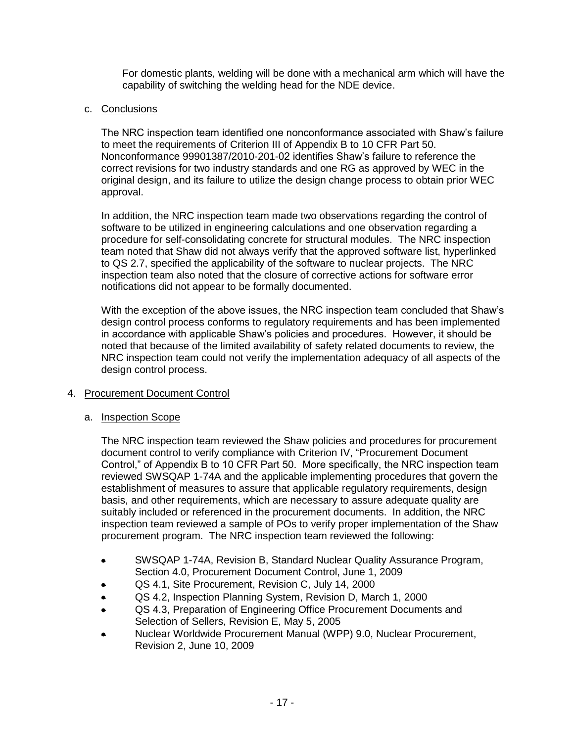For domestic plants, welding will be done with a mechanical arm which will have the capability of switching the welding head for the NDE device.

# c. Conclusions

The NRC inspection team identified one nonconformance associated with Shaw's failure to meet the requirements of Criterion III of Appendix B to 10 CFR Part 50. Nonconformance 99901387/2010-201-02 identifies Shaw's failure to reference the correct revisions for two industry standards and one RG as approved by WEC in the original design, and its failure to utilize the design change process to obtain prior WEC approval.

In addition, the NRC inspection team made two observations regarding the control of software to be utilized in engineering calculations and one observation regarding a procedure for self-consolidating concrete for structural modules. The NRC inspection team noted that Shaw did not always verify that the approved software list, hyperlinked to QS 2.7, specified the applicability of the software to nuclear projects. The NRC inspection team also noted that the closure of corrective actions for software error notifications did not appear to be formally documented.

With the exception of the above issues, the NRC inspection team concluded that Shaw's design control process conforms to regulatory requirements and has been implemented in accordance with applicable Shaw's policies and procedures. However, it should be noted that because of the limited availability of safety related documents to review, the NRC inspection team could not verify the implementation adequacy of all aspects of the design control process.

# 4. Procurement Document Control

# a. Inspection Scope

The NRC inspection team reviewed the Shaw policies and procedures for procurement document control to verify compliance with Criterion IV, "Procurement Document Control," of Appendix B to 10 CFR Part 50. More specifically, the NRC inspection team reviewed SWSQAP 1-74A and the applicable implementing procedures that govern the establishment of measures to assure that applicable regulatory requirements, design basis, and other requirements, which are necessary to assure adequate quality are suitably included or referenced in the procurement documents. In addition, the NRC inspection team reviewed a sample of POs to verify proper implementation of the Shaw procurement program. The NRC inspection team reviewed the following:

- SWSQAP 1-74A, Revision B, Standard Nuclear Quality Assurance Program,  $\bullet$ Section 4.0, Procurement Document Control, June 1, 2009
- QS 4.1, Site Procurement, Revision C, July 14, 2000
- QS 4.2, Inspection Planning System, Revision D, March 1, 2000  $\bullet$
- QS 4.3, Preparation of Engineering Office Procurement Documents and  $\bullet$ Selection of Sellers, Revision E, May 5, 2005
- Nuclear Worldwide Procurement Manual (WPP) 9.0, Nuclear Procurement, Revision 2, June 10, 2009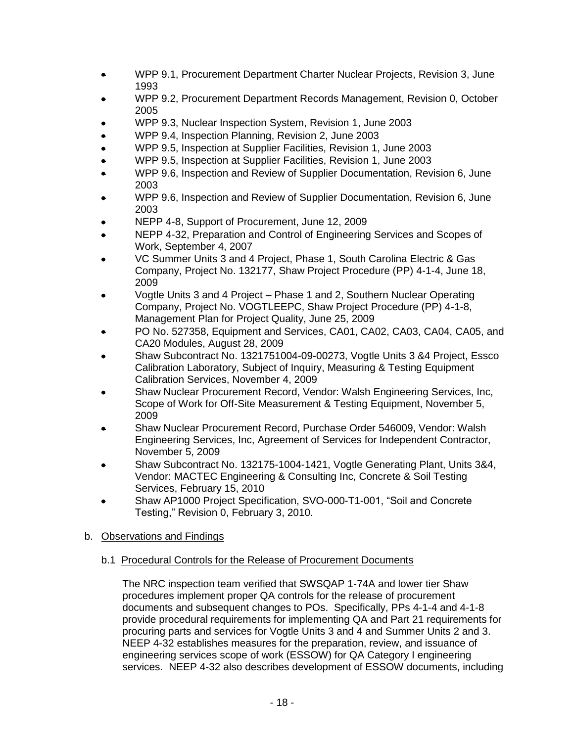- WPP 9.1, Procurement Department Charter Nuclear Projects, Revision 3, June  $\bullet$ 1993
- WPP 9.2, Procurement Department Records Management, Revision 0, October  $\bullet$ 2005
- WPP 9.3, Nuclear Inspection System, Revision 1, June 2003
- WPP 9.4, Inspection Planning, Revision 2, June 2003
- WPP 9.5, Inspection at Supplier Facilities, Revision 1, June 2003
- WPP 9.5, Inspection at Supplier Facilities, Revision 1, June 2003
- WPP 9.6, Inspection and Review of Supplier Documentation, Revision 6, June 2003
- WPP 9.6, Inspection and Review of Supplier Documentation, Revision 6, June  $\bullet$ 2003
- NEPP 4-8, Support of Procurement, June 12, 2009
- NEPP 4-32, Preparation and Control of Engineering Services and Scopes of Work, September 4, 2007
- VC Summer Units 3 and 4 Project, Phase 1, South Carolina Electric & Gas  $\bullet$ Company, Project No. 132177, Shaw Project Procedure (PP) 4-1-4, June 18, 2009
- Vogtle Units 3 and 4 Project Phase 1 and 2, Southern Nuclear Operating  $\bullet$ Company, Project No. VOGTLEEPC, Shaw Project Procedure (PP) 4-1-8, Management Plan for Project Quality, June 25, 2009
- PO No. 527358, Equipment and Services, CA01, CA02, CA03, CA04, CA05, and CA20 Modules, August 28, 2009
- Shaw Subcontract No. 1321751004-09-00273, Vogtle Units 3 &4 Project, Essco  $\bullet$ Calibration Laboratory, Subject of Inquiry, Measuring & Testing Equipment Calibration Services, November 4, 2009
- Shaw Nuclear Procurement Record, Vendor: Walsh Engineering Services, Inc, Scope of Work for Off-Site Measurement & Testing Equipment, November 5, 2009
- Shaw Nuclear Procurement Record, Purchase Order 546009, Vendor: Walsh  $\bullet$ Engineering Services, Inc, Agreement of Services for Independent Contractor, November 5, 2009
- Shaw Subcontract No. 132175-1004-1421, Vogtle Generating Plant, Units 3&4, Vendor: MACTEC Engineering & Consulting Inc, Concrete & Soil Testing Services, February 15, 2010
- Shaw AP1000 Project Specification, SVO-000-T1-001, "Soil and Concrete  $\bullet$ Testing," Revision 0, February 3, 2010.

# b. Observations and Findings

# b.1 Procedural Controls for the Release of Procurement Documents

The NRC inspection team verified that SWSQAP 1-74A and lower tier Shaw procedures implement proper QA controls for the release of procurement documents and subsequent changes to POs. Specifically, PPs 4-1-4 and 4-1-8 provide procedural requirements for implementing QA and Part 21 requirements for procuring parts and services for Vogtle Units 3 and 4 and Summer Units 2 and 3. NEEP 4-32 establishes measures for the preparation, review, and issuance of engineering services scope of work (ESSOW) for QA Category I engineering services. NEEP 4-32 also describes development of ESSOW documents, including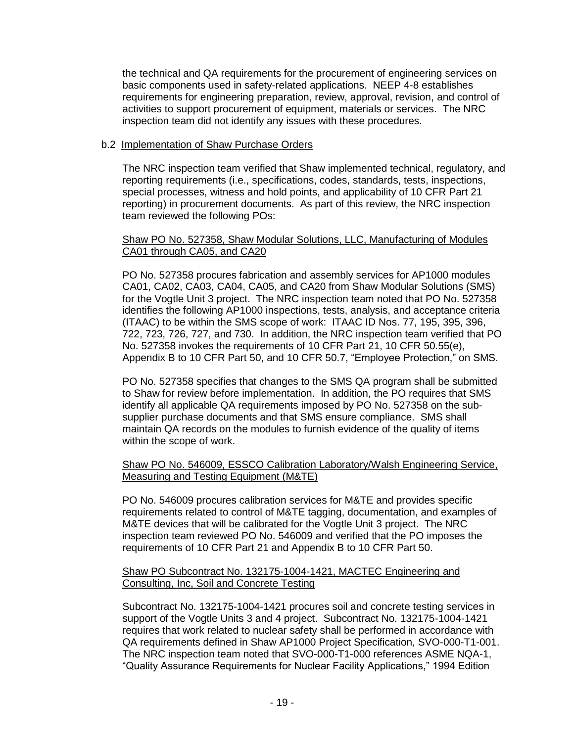the technical and QA requirements for the procurement of engineering services on basic components used in safety-related applications. NEEP 4-8 establishes requirements for engineering preparation, review, approval, revision, and control of activities to support procurement of equipment, materials or services. The NRC inspection team did not identify any issues with these procedures.

### b.2 Implementation of Shaw Purchase Orders

The NRC inspection team verified that Shaw implemented technical, regulatory, and reporting requirements (i.e., specifications, codes, standards, tests, inspections, special processes, witness and hold points, and applicability of 10 CFR Part 21 reporting) in procurement documents. As part of this review, the NRC inspection team reviewed the following POs:

#### Shaw PO No. 527358, Shaw Modular Solutions, LLC, Manufacturing of Modules CA01 through CA05, and CA20

PO No. 527358 procures fabrication and assembly services for AP1000 modules CA01, CA02, CA03, CA04, CA05, and CA20 from Shaw Modular Solutions (SMS) for the Vogtle Unit 3 project. The NRC inspection team noted that PO No. 527358 identifies the following AP1000 inspections, tests, analysis, and acceptance criteria (ITAAC) to be within the SMS scope of work: ITAAC ID Nos. 77, 195, 395, 396, 722, 723, 726, 727, and 730. In addition, the NRC inspection team verified that PO No. 527358 invokes the requirements of 10 CFR Part 21, 10 CFR 50.55(e), Appendix B to 10 CFR Part 50, and 10 CFR 50.7, "Employee Protection," on SMS.

PO No. 527358 specifies that changes to the SMS QA program shall be submitted to Shaw for review before implementation. In addition, the PO requires that SMS identify all applicable QA requirements imposed by PO No. 527358 on the subsupplier purchase documents and that SMS ensure compliance. SMS shall maintain QA records on the modules to furnish evidence of the quality of items within the scope of work.

#### Shaw PO No. 546009, ESSCO Calibration Laboratory/Walsh Engineering Service, Measuring and Testing Equipment (M&TE)

PO No. 546009 procures calibration services for M&TE and provides specific requirements related to control of M&TE tagging, documentation, and examples of M&TE devices that will be calibrated for the Vogtle Unit 3 project. The NRC inspection team reviewed PO No. 546009 and verified that the PO imposes the requirements of 10 CFR Part 21 and Appendix B to 10 CFR Part 50.

#### Shaw PO Subcontract No. 132175-1004-1421, MACTEC Engineering and Consulting, Inc, Soil and Concrete Testing

Subcontract No. 132175-1004-1421 procures soil and concrete testing services in support of the Vogtle Units 3 and 4 project. Subcontract No. 132175-1004-1421 requires that work related to nuclear safety shall be performed in accordance with QA requirements defined in Shaw AP1000 Project Specification, SVO-000-T1-001. The NRC inspection team noted that SVO-000-T1-000 references ASME NQA-1, "Quality Assurance Requirements for Nuclear Facility Applications," 1994 Edition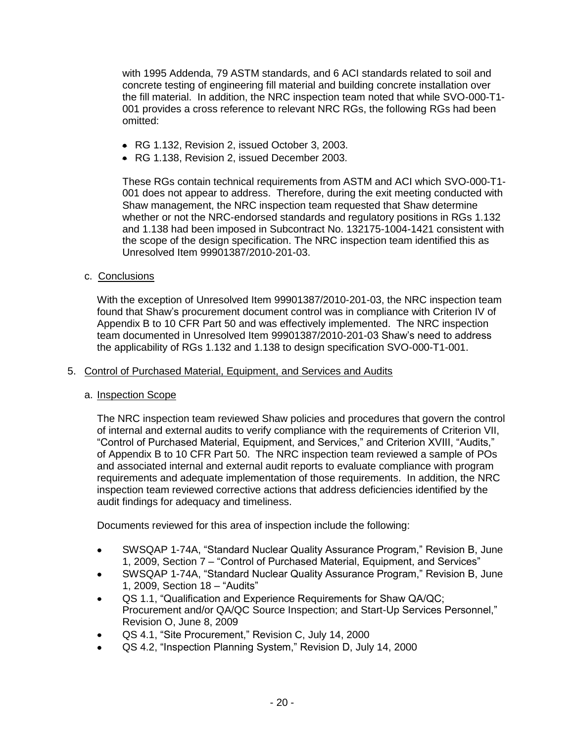with 1995 Addenda, 79 ASTM standards, and 6 ACI standards related to soil and concrete testing of engineering fill material and building concrete installation over the fill material. In addition, the NRC inspection team noted that while SVO-000-T1- 001 provides a cross reference to relevant NRC RGs, the following RGs had been omitted:

- RG 1.132, Revision 2, issued October 3, 2003.
- RG 1.138, Revision 2, issued December 2003.

These RGs contain technical requirements from ASTM and ACI which SVO-000-T1- 001 does not appear to address. Therefore, during the exit meeting conducted with Shaw management, the NRC inspection team requested that Shaw determine whether or not the NRC-endorsed standards and regulatory positions in RGs 1.132 and 1.138 had been imposed in Subcontract No. 132175-1004-1421 consistent with the scope of the design specification. The NRC inspection team identified this as Unresolved Item 99901387/2010-201-03.

c. Conclusions

With the exception of Unresolved Item 99901387/2010-201-03, the NRC inspection team found that Shaw's procurement document control was in compliance with Criterion IV of Appendix B to 10 CFR Part 50 and was effectively implemented. The NRC inspection team documented in Unresolved Item 99901387/2010-201-03 Shaw's need to address the applicability of RGs 1.132 and 1.138 to design specification SVO-000-T1-001.

#### 5. Control of Purchased Material, Equipment, and Services and Audits

#### a. Inspection Scope

The NRC inspection team reviewed Shaw policies and procedures that govern the control of internal and external audits to verify compliance with the requirements of Criterion VII, "Control of Purchased Material, Equipment, and Services," and Criterion XVIII, "Audits," of Appendix B to 10 CFR Part 50. The NRC inspection team reviewed a sample of POs and associated internal and external audit reports to evaluate compliance with program requirements and adequate implementation of those requirements. In addition, the NRC inspection team reviewed corrective actions that address deficiencies identified by the audit findings for adequacy and timeliness.

Documents reviewed for this area of inspection include the following:

- SWSQAP 1-74A, "Standard Nuclear Quality Assurance Program," Revision B, June 1, 2009, Section 7 – "Control of Purchased Material, Equipment, and Services"
- SWSQAP 1-74A, "Standard Nuclear Quality Assurance Program," Revision B, June 1, 2009, Section 18 – "Audits"
- QS 1.1, "Qualification and Experience Requirements for Shaw QA/QC; Procurement and/or QA/QC Source Inspection; and Start-Up Services Personnel," Revision O, June 8, 2009
- QS 4.1, "Site Procurement," Revision C, July 14, 2000
- QS 4.2, "Inspection Planning System," Revision D, July 14, 2000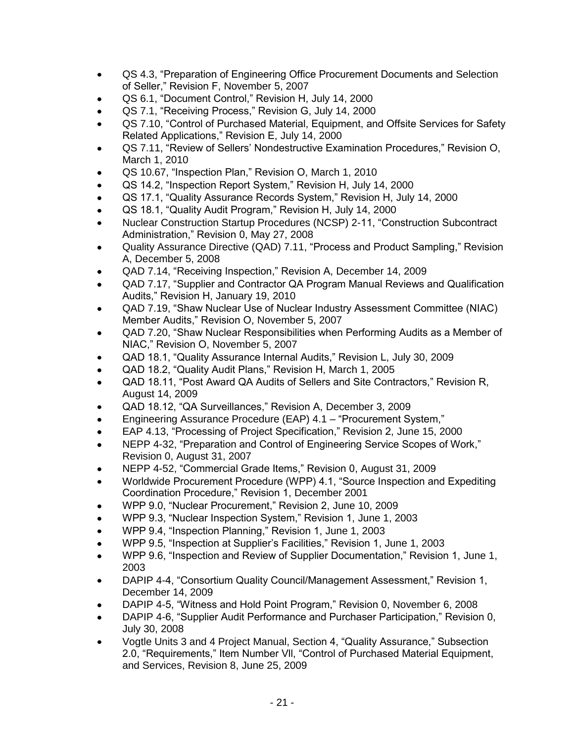- QS 4.3, "Preparation of Engineering Office Procurement Documents and Selection of Seller," Revision F, November 5, 2007
- QS 6.1, "Document Control," Revision H, July 14, 2000
- QS 7.1, "Receiving Process," Revision G, July 14, 2000
- QS 7.10, "Control of Purchased Material, Equipment, and Offsite Services for Safety Related Applications," Revision E, July 14, 2000
- QS 7.11, "Review of Sellers' Nondestructive Examination Procedures," Revision O, March 1, 2010
- QS 10.67, "Inspection Plan," Revision O, March 1, 2010
- QS 14.2, "Inspection Report System," Revision H, July 14, 2000
- QS 17.1, "Quality Assurance Records System," Revision H, July 14, 2000
- QS 18.1, "Quality Audit Program," Revision H, July 14, 2000
- Nuclear Construction Startup Procedures (NCSP) 2-11, "Construction Subcontract Administration," Revision 0, May 27, 2008
- Quality Assurance Directive (QAD) 7.11, "Process and Product Sampling," Revision A, December 5, 2008
- QAD 7.14, "Receiving Inspection," Revision A, December 14, 2009
- QAD 7.17, "Supplier and Contractor QA Program Manual Reviews and Qualification Audits," Revision H, January 19, 2010
- QAD 7.19, "Shaw Nuclear Use of Nuclear Industry Assessment Committee (NIAC) Member Audits," Revision O, November 5, 2007
- QAD 7.20, "Shaw Nuclear Responsibilities when Performing Audits as a Member of NIAC," Revision O, November 5, 2007
- QAD 18.1, "Quality Assurance Internal Audits," Revision L, July 30, 2009
- QAD 18.2, "Quality Audit Plans," Revision H, March 1, 2005
- QAD 18.11, "Post Award QA Audits of Sellers and Site Contractors," Revision R, August 14, 2009
- QAD 18.12, "QA Surveillances," Revision A, December 3, 2009
- Engineering Assurance Procedure (EAP) 4.1 "Procurement System,"
- EAP 4.13, "Processing of Project Specification," Revision 2, June 15, 2000
- NEPP 4-32, "Preparation and Control of Engineering Service Scopes of Work," Revision 0, August 31, 2007
- NEPP 4-52, "Commercial Grade Items," Revision 0, August 31, 2009
- Worldwide Procurement Procedure (WPP) 4.1, "Source Inspection and Expediting Coordination Procedure," Revision 1, December 2001
- WPP 9.0, "Nuclear Procurement," Revision 2, June 10, 2009
- WPP 9.3, "Nuclear Inspection System," Revision 1, June 1, 2003
- WPP 9.4, "Inspection Planning," Revision 1, June 1, 2003
- WPP 9.5, "Inspection at Supplier's Facilities," Revision 1, June 1, 2003
- WPP 9.6, "Inspection and Review of Supplier Documentation," Revision 1, June 1, 2003
- DAPIP 4-4, "Consortium Quality Council/Management Assessment," Revision 1, December 14, 2009
- DAPIP 4-5, "Witness and Hold Point Program," Revision 0, November 6, 2008
- DAPIP 4-6, "Supplier Audit Performance and Purchaser Participation," Revision 0, July 30, 2008
- Vogtle Units 3 and 4 Project Manual, Section 4, "Quality Assurance," Subsection 2.0, "Requirements," Item Number Vll, "Control of Purchased Material Equipment, and Services, Revision 8, June 25, 2009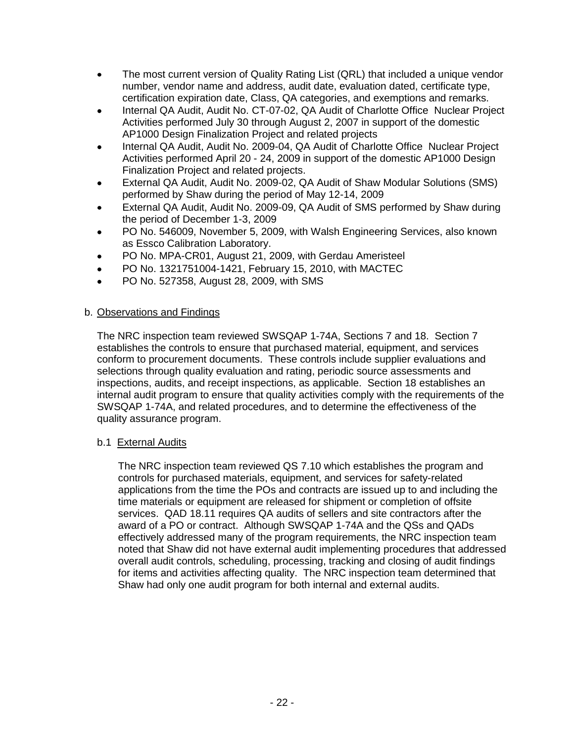- The most current version of Quality Rating List (QRL) that included a unique vendor number, vendor name and address, audit date, evaluation dated, certificate type, certification expiration date, Class, QA categories, and exemptions and remarks.
- Internal QA Audit, Audit No. CT-07-02, QA Audit of Charlotte Office Nuclear Project Activities performed July 30 through August 2, 2007 in support of the domestic AP1000 Design Finalization Project and related projects
- Internal QA Audit, Audit No. 2009-04, QA Audit of Charlotte Office Nuclear Project Activities performed April 20 - 24, 2009 in support of the domestic AP1000 Design Finalization Project and related projects.
- External QA Audit, Audit No. 2009-02, QA Audit of Shaw Modular Solutions (SMS) performed by Shaw during the period of May 12-14, 2009
- External QA Audit, Audit No. 2009-09, QA Audit of SMS performed by Shaw during the period of December 1-3, 2009
- PO No. 546009, November 5, 2009, with Walsh Engineering Services, also known as Essco Calibration Laboratory.
- PO No. MPA-CR01, August 21, 2009, with Gerdau Ameristeel
- PO No. 1321751004-1421, February 15, 2010, with MACTEC
- PO No. 527358, August 28, 2009, with SMS

# b. Observations and Findings

The NRC inspection team reviewed SWSQAP 1-74A, Sections 7 and 18. Section 7 establishes the controls to ensure that purchased material, equipment, and services conform to procurement documents. These controls include supplier evaluations and selections through quality evaluation and rating, periodic source assessments and inspections, audits, and receipt inspections, as applicable. Section 18 establishes an internal audit program to ensure that quality activities comply with the requirements of the SWSQAP 1-74A, and related procedures, and to determine the effectiveness of the quality assurance program.

# b.1 External Audits

The NRC inspection team reviewed QS 7.10 which establishes the program and controls for purchased materials, equipment, and services for safety-related applications from the time the POs and contracts are issued up to and including the time materials or equipment are released for shipment or completion of offsite services. QAD 18.11 requires QA audits of sellers and site contractors after the award of a PO or contract. Although SWSQAP 1-74A and the QSs and QADs effectively addressed many of the program requirements, the NRC inspection team noted that Shaw did not have external audit implementing procedures that addressed overall audit controls, scheduling, processing, tracking and closing of audit findings for items and activities affecting quality. The NRC inspection team determined that Shaw had only one audit program for both internal and external audits.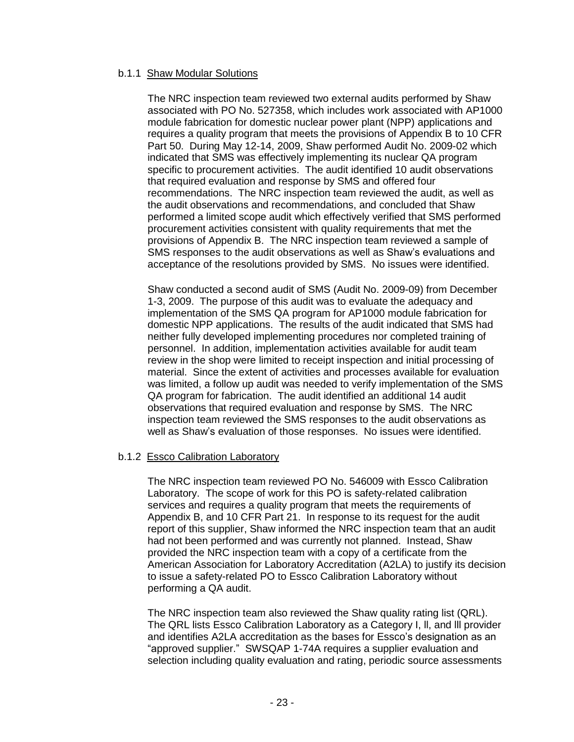#### b.1.1 Shaw Modular Solutions

The NRC inspection team reviewed two external audits performed by Shaw associated with PO No. 527358, which includes work associated with AP1000 module fabrication for domestic nuclear power plant (NPP) applications and requires a quality program that meets the provisions of Appendix B to 10 CFR Part 50. During May 12-14, 2009, Shaw performed Audit No. 2009-02 which indicated that SMS was effectively implementing its nuclear QA program specific to procurement activities. The audit identified 10 audit observations that required evaluation and response by SMS and offered four recommendations. The NRC inspection team reviewed the audit, as well as the audit observations and recommendations, and concluded that Shaw performed a limited scope audit which effectively verified that SMS performed procurement activities consistent with quality requirements that met the provisions of Appendix B. The NRC inspection team reviewed a sample of SMS responses to the audit observations as well as Shaw's evaluations and acceptance of the resolutions provided by SMS. No issues were identified.

Shaw conducted a second audit of SMS (Audit No. 2009-09) from December 1-3, 2009. The purpose of this audit was to evaluate the adequacy and implementation of the SMS QA program for AP1000 module fabrication for domestic NPP applications. The results of the audit indicated that SMS had neither fully developed implementing procedures nor completed training of personnel. In addition, implementation activities available for audit team review in the shop were limited to receipt inspection and initial processing of material. Since the extent of activities and processes available for evaluation was limited, a follow up audit was needed to verify implementation of the SMS QA program for fabrication. The audit identified an additional 14 audit observations that required evaluation and response by SMS. The NRC inspection team reviewed the SMS responses to the audit observations as well as Shaw's evaluation of those responses. No issues were identified.

# b.1.2 Essco Calibration Laboratory

The NRC inspection team reviewed PO No. 546009 with Essco Calibration Laboratory. The scope of work for this PO is safety-related calibration services and requires a quality program that meets the requirements of Appendix B, and 10 CFR Part 21. In response to its request for the audit report of this supplier, Shaw informed the NRC inspection team that an audit had not been performed and was currently not planned. Instead, Shaw provided the NRC inspection team with a copy of a certificate from the American Association for Laboratory Accreditation (A2LA) to justify its decision to issue a safety-related PO to Essco Calibration Laboratory without performing a QA audit.

The NRC inspection team also reviewed the Shaw quality rating list (QRL). The QRL lists Essco Calibration Laboratory as a Category I, ll, and lll provider and identifies A2LA accreditation as the bases for Essco's designation as an "approved supplier." SWSQAP 1-74A requires a supplier evaluation and selection including quality evaluation and rating, periodic source assessments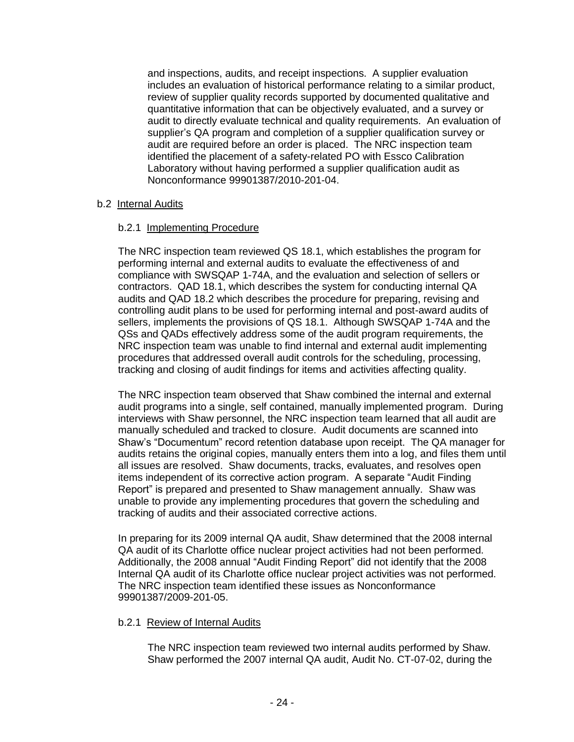and inspections, audits, and receipt inspections. A supplier evaluation includes an evaluation of historical performance relating to a similar product, review of supplier quality records supported by documented qualitative and quantitative information that can be objectively evaluated, and a survey or audit to directly evaluate technical and quality requirements. An evaluation of supplier's QA program and completion of a supplier qualification survey or audit are required before an order is placed. The NRC inspection team identified the placement of a safety-related PO with Essco Calibration Laboratory without having performed a supplier qualification audit as Nonconformance 99901387/2010-201-04.

# b.2 Internal Audits

# b.2.1 Implementing Procedure

The NRC inspection team reviewed QS 18.1, which establishes the program for performing internal and external audits to evaluate the effectiveness of and compliance with SWSQAP 1-74A, and the evaluation and selection of sellers or contractors. QAD 18.1, which describes the system for conducting internal QA audits and QAD 18.2 which describes the procedure for preparing, revising and controlling audit plans to be used for performing internal and post-award audits of sellers, implements the provisions of QS 18.1. Although SWSQAP 1-74A and the QSs and QADs effectively address some of the audit program requirements, the NRC inspection team was unable to find internal and external audit implementing procedures that addressed overall audit controls for the scheduling, processing, tracking and closing of audit findings for items and activities affecting quality.

The NRC inspection team observed that Shaw combined the internal and external audit programs into a single, self contained, manually implemented program. During interviews with Shaw personnel, the NRC inspection team learned that all audit are manually scheduled and tracked to closure. Audit documents are scanned into Shaw's "Documentum" record retention database upon receipt. The QA manager for audits retains the original copies, manually enters them into a log, and files them until all issues are resolved. Shaw documents, tracks, evaluates, and resolves open items independent of its corrective action program. A separate "Audit Finding Report" is prepared and presented to Shaw management annually. Shaw was unable to provide any implementing procedures that govern the scheduling and tracking of audits and their associated corrective actions.

In preparing for its 2009 internal QA audit, Shaw determined that the 2008 internal QA audit of its Charlotte office nuclear project activities had not been performed. Additionally, the 2008 annual "Audit Finding Report" did not identify that the 2008 Internal QA audit of its Charlotte office nuclear project activities was not performed. The NRC inspection team identified these issues as Nonconformance 99901387/2009-201-05.

# b.2.1 Review of Internal Audits

The NRC inspection team reviewed two internal audits performed by Shaw. Shaw performed the 2007 internal QA audit, Audit No. CT-07-02, during the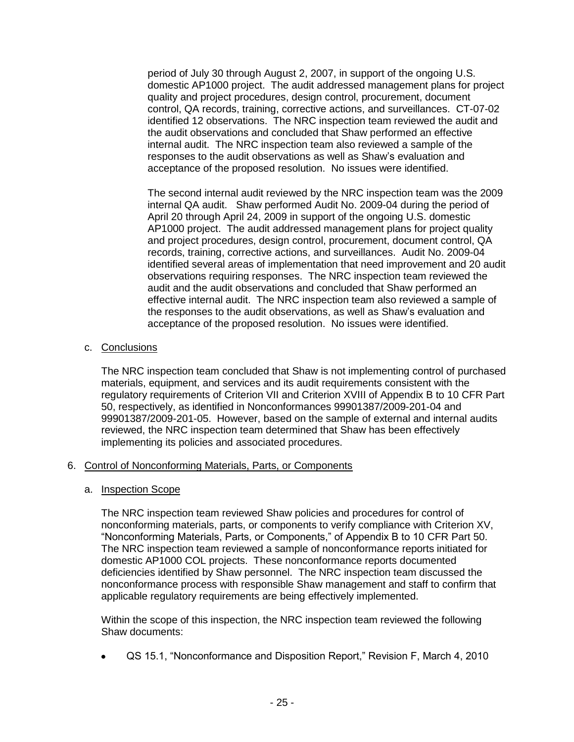period of July 30 through August 2, 2007, in support of the ongoing U.S. domestic AP1000 project. The audit addressed management plans for project quality and project procedures, design control, procurement, document control, QA records, training, corrective actions, and surveillances. CT-07-02 identified 12 observations. The NRC inspection team reviewed the audit and the audit observations and concluded that Shaw performed an effective internal audit. The NRC inspection team also reviewed a sample of the responses to the audit observations as well as Shaw's evaluation and acceptance of the proposed resolution. No issues were identified.

The second internal audit reviewed by the NRC inspection team was the 2009 internal QA audit. Shaw performed Audit No. 2009-04 during the period of April 20 through April 24, 2009 in support of the ongoing U.S. domestic AP1000 project. The audit addressed management plans for project quality and project procedures, design control, procurement, document control, QA records, training, corrective actions, and surveillances. Audit No. 2009-04 identified several areas of implementation that need improvement and 20 audit observations requiring responses. The NRC inspection team reviewed the audit and the audit observations and concluded that Shaw performed an effective internal audit. The NRC inspection team also reviewed a sample of the responses to the audit observations, as well as Shaw's evaluation and acceptance of the proposed resolution. No issues were identified.

# c. Conclusions

The NRC inspection team concluded that Shaw is not implementing control of purchased materials, equipment, and services and its audit requirements consistent with the regulatory requirements of Criterion VII and Criterion XVIII of Appendix B to 10 CFR Part 50, respectively, as identified in Nonconformances 99901387/2009-201-04 and 99901387/2009-201-05. However, based on the sample of external and internal audits reviewed, the NRC inspection team determined that Shaw has been effectively implementing its policies and associated procedures.

# 6. Control of Nonconforming Materials, Parts, or Components

# a. Inspection Scope

The NRC inspection team reviewed Shaw policies and procedures for control of nonconforming materials, parts, or components to verify compliance with Criterion XV, "Nonconforming Materials, Parts, or Components," of Appendix B to 10 CFR Part 50. The NRC inspection team reviewed a sample of nonconformance reports initiated for domestic AP1000 COL projects. These nonconformance reports documented deficiencies identified by Shaw personnel. The NRC inspection team discussed the nonconformance process with responsible Shaw management and staff to confirm that applicable regulatory requirements are being effectively implemented.

Within the scope of this inspection, the NRC inspection team reviewed the following Shaw documents:

QS 15.1, "Nonconformance and Disposition Report," Revision F, March 4, 2010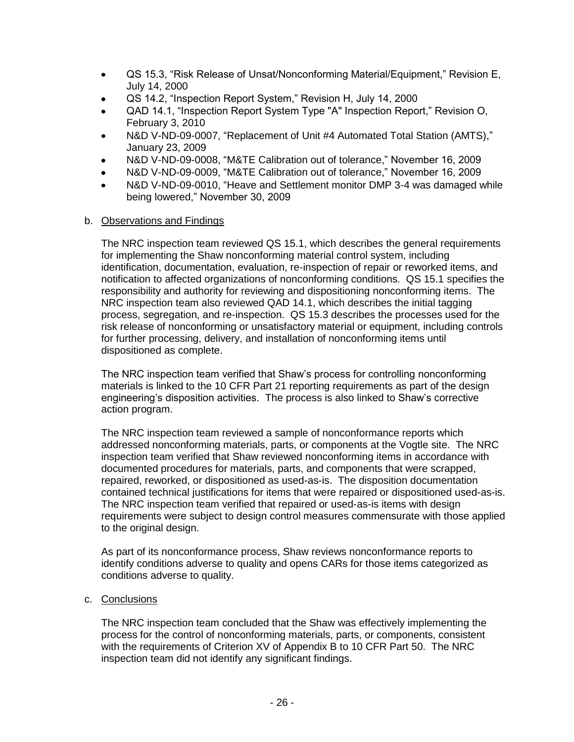- QS 15.3, "Risk Release of Unsat/Nonconforming Material/Equipment," Revision E, July 14, 2000
- QS 14.2, "Inspection Report System," Revision H, July 14, 2000
- QAD 14.1, "Inspection Report System Type "A" Inspection Report," Revision O, February 3, 2010
- N&D V-ND-09-0007, "Replacement of Unit #4 Automated Total Station (AMTS)," January 23, 2009
- N&D V-ND-09-0008, "M&TE Calibration out of tolerance," November 16, 2009
- N&D V-ND-09-0009, "M&TE Calibration out of tolerance," November 16, 2009
- N&D V-ND-09-0010, "Heave and Settlement monitor DMP 3-4 was damaged while being lowered," November 30, 2009

# b. Observations and Findings

The NRC inspection team reviewed QS 15.1, which describes the general requirements for implementing the Shaw nonconforming material control system, including identification, documentation, evaluation, re-inspection of repair or reworked items, and notification to affected organizations of nonconforming conditions. QS 15.1 specifies the responsibility and authority for reviewing and dispositioning nonconforming items. The NRC inspection team also reviewed QAD 14.1, which describes the initial tagging process, segregation, and re-inspection. QS 15.3 describes the processes used for the risk release of nonconforming or unsatisfactory material or equipment, including controls for further processing, delivery, and installation of nonconforming items until dispositioned as complete.

The NRC inspection team verified that Shaw's process for controlling nonconforming materials is linked to the 10 CFR Part 21 reporting requirements as part of the design engineering's disposition activities. The process is also linked to Shaw's corrective action program.

The NRC inspection team reviewed a sample of nonconformance reports which addressed nonconforming materials, parts, or components at the Vogtle site. The NRC inspection team verified that Shaw reviewed nonconforming items in accordance with documented procedures for materials, parts, and components that were scrapped, repaired, reworked, or dispositioned as used-as-is. The disposition documentation contained technical justifications for items that were repaired or dispositioned used-as-is. The NRC inspection team verified that repaired or used-as-is items with design requirements were subject to design control measures commensurate with those applied to the original design.

As part of its nonconformance process, Shaw reviews nonconformance reports to identify conditions adverse to quality and opens CARs for those items categorized as conditions adverse to quality.

# c. Conclusions

The NRC inspection team concluded that the Shaw was effectively implementing the process for the control of nonconforming materials, parts, or components, consistent with the requirements of Criterion XV of Appendix B to 10 CFR Part 50. The NRC inspection team did not identify any significant findings.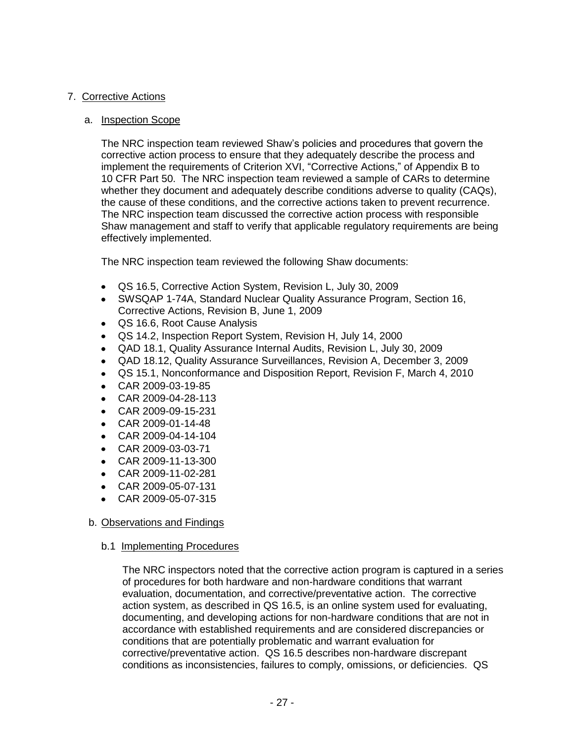# 7. Corrective Actions

### a. Inspection Scope

The NRC inspection team reviewed Shaw's policies and procedures that govern the corrective action process to ensure that they adequately describe the process and implement the requirements of Criterion XVI, "Corrective Actions," of Appendix B to 10 CFR Part 50. The NRC inspection team reviewed a sample of CARs to determine whether they document and adequately describe conditions adverse to quality (CAQs), the cause of these conditions, and the corrective actions taken to prevent recurrence. The NRC inspection team discussed the corrective action process with responsible Shaw management and staff to verify that applicable regulatory requirements are being effectively implemented.

The NRC inspection team reviewed the following Shaw documents:

- QS 16.5, Corrective Action System, Revision L, July 30, 2009
- SWSQAP 1-74A, Standard Nuclear Quality Assurance Program, Section 16, Corrective Actions, Revision B, June 1, 2009
- QS 16.6, Root Cause Analysis
- QS 14.2, Inspection Report System, Revision H, July 14, 2000
- QAD 18.1, Quality Assurance Internal Audits, Revision L, July 30, 2009
- QAD 18.12, Quality Assurance Surveillances, Revision A, December 3, 2009
- QS 15.1, Nonconformance and Disposition Report, Revision F, March 4, 2010
- CAR 2009-03-19-85
- CAR 2009-04-28-113
- $\bullet$ CAR 2009-09-15-231
- CAR 2009-01-14-48
- CAR 2009-04-14-104  $\bullet$
- CAR 2009-03-03-71
- CAR 2009-11-13-300
- CAR 2009-11-02-281
- CAR 2009-05-07-131
- CAR 2009-05-07-315

# b. Observations and Findings

b.1 Implementing Procedures

The NRC inspectors noted that the corrective action program is captured in a series of procedures for both hardware and non-hardware conditions that warrant evaluation, documentation, and corrective/preventative action. The corrective action system, as described in QS 16.5, is an online system used for evaluating, documenting, and developing actions for non-hardware conditions that are not in accordance with established requirements and are considered discrepancies or conditions that are potentially problematic and warrant evaluation for corrective/preventative action. QS 16.5 describes non-hardware discrepant conditions as inconsistencies, failures to comply, omissions, or deficiencies. QS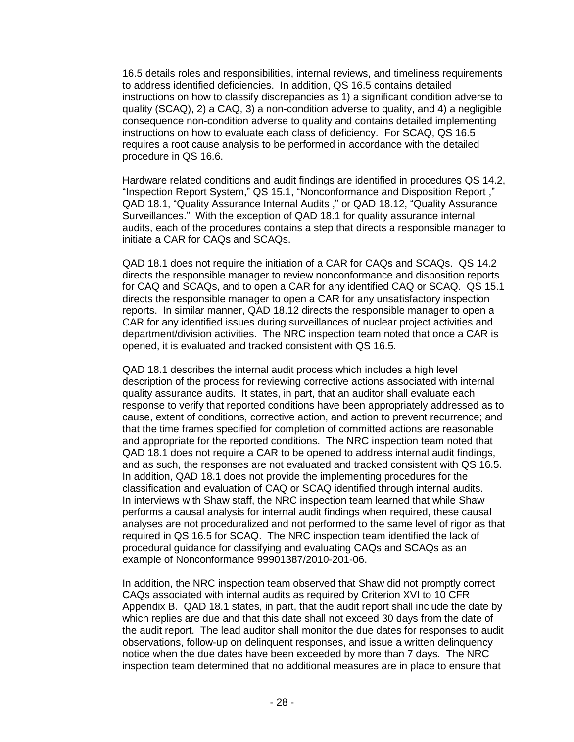16.5 details roles and responsibilities, internal reviews, and timeliness requirements to address identified deficiencies. In addition, QS 16.5 contains detailed instructions on how to classify discrepancies as 1) a significant condition adverse to quality (SCAQ), 2) a CAQ, 3) a non-condition adverse to quality, and 4) a negligible consequence non-condition adverse to quality and contains detailed implementing instructions on how to evaluate each class of deficiency. For SCAQ, QS 16.5 requires a root cause analysis to be performed in accordance with the detailed procedure in QS 16.6.

Hardware related conditions and audit findings are identified in procedures QS 14.2, "Inspection Report System," QS 15.1, "Nonconformance and Disposition Report ," QAD 18.1, "Quality Assurance Internal Audits ," or QAD 18.12, "Quality Assurance Surveillances." With the exception of QAD 18.1 for quality assurance internal audits, each of the procedures contains a step that directs a responsible manager to initiate a CAR for CAQs and SCAQs.

QAD 18.1 does not require the initiation of a CAR for CAQs and SCAQs. QS 14.2 directs the responsible manager to review nonconformance and disposition reports for CAQ and SCAQs, and to open a CAR for any identified CAQ or SCAQ. QS 15.1 directs the responsible manager to open a CAR for any unsatisfactory inspection reports. In similar manner, QAD 18.12 directs the responsible manager to open a CAR for any identified issues during surveillances of nuclear project activities and department/division activities. The NRC inspection team noted that once a CAR is opened, it is evaluated and tracked consistent with QS 16.5.

QAD 18.1 describes the internal audit process which includes a high level description of the process for reviewing corrective actions associated with internal quality assurance audits. It states, in part, that an auditor shall evaluate each response to verify that reported conditions have been appropriately addressed as to cause, extent of conditions, corrective action, and action to prevent recurrence; and that the time frames specified for completion of committed actions are reasonable and appropriate for the reported conditions. The NRC inspection team noted that QAD 18.1 does not require a CAR to be opened to address internal audit findings, and as such, the responses are not evaluated and tracked consistent with QS 16.5. In addition, QAD 18.1 does not provide the implementing procedures for the classification and evaluation of CAQ or SCAQ identified through internal audits. In interviews with Shaw staff, the NRC inspection team learned that while Shaw performs a causal analysis for internal audit findings when required, these causal analyses are not proceduralized and not performed to the same level of rigor as that required in QS 16.5 for SCAQ. The NRC inspection team identified the lack of procedural guidance for classifying and evaluating CAQs and SCAQs as an example of Nonconformance 99901387/2010-201-06.

In addition, the NRC inspection team observed that Shaw did not promptly correct CAQs associated with internal audits as required by Criterion XVI to 10 CFR Appendix B. QAD 18.1 states, in part, that the audit report shall include the date by which replies are due and that this date shall not exceed 30 days from the date of the audit report. The lead auditor shall monitor the due dates for responses to audit observations, follow-up on delinquent responses, and issue a written delinquency notice when the due dates have been exceeded by more than 7 days. The NRC inspection team determined that no additional measures are in place to ensure that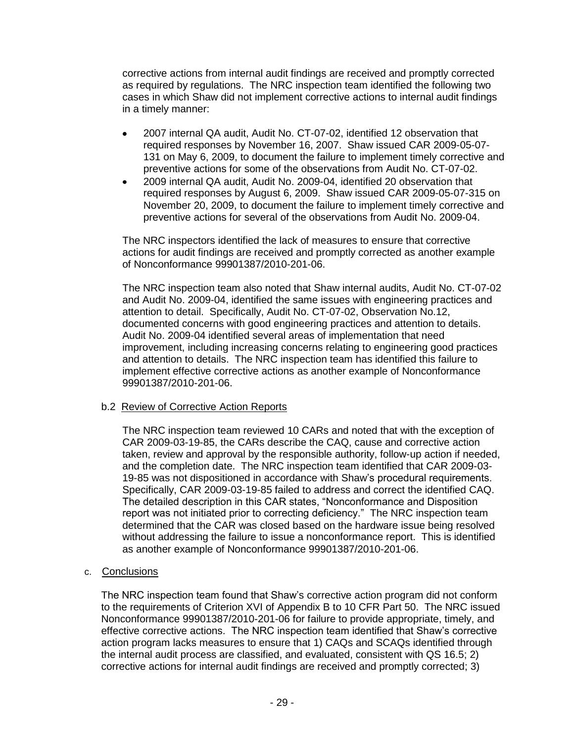corrective actions from internal audit findings are received and promptly corrected as required by regulations. The NRC inspection team identified the following two cases in which Shaw did not implement corrective actions to internal audit findings in a timely manner:

- 2007 internal QA audit, Audit No. CT-07-02, identified 12 observation that  $\bullet$ required responses by November 16, 2007. Shaw issued CAR 2009-05-07- 131 on May 6, 2009, to document the failure to implement timely corrective and preventive actions for some of the observations from Audit No. CT-07-02.
- 2009 internal QA audit, Audit No. 2009-04, identified 20 observation that required responses by August 6, 2009. Shaw issued CAR 2009-05-07-315 on November 20, 2009, to document the failure to implement timely corrective and preventive actions for several of the observations from Audit No. 2009-04.

The NRC inspectors identified the lack of measures to ensure that corrective actions for audit findings are received and promptly corrected as another example of Nonconformance 99901387/2010-201-06.

The NRC inspection team also noted that Shaw internal audits, Audit No. CT-07-02 and Audit No. 2009-04, identified the same issues with engineering practices and attention to detail. Specifically, Audit No. CT-07-02, Observation No.12, documented concerns with good engineering practices and attention to details. Audit No. 2009-04 identified several areas of implementation that need improvement, including increasing concerns relating to engineering good practices and attention to details. The NRC inspection team has identified this failure to implement effective corrective actions as another example of Nonconformance 99901387/2010-201-06.

# b.2 Review of Corrective Action Reports

The NRC inspection team reviewed 10 CARs and noted that with the exception of CAR 2009-03-19-85, the CARs describe the CAQ, cause and corrective action taken, review and approval by the responsible authority, follow-up action if needed, and the completion date. The NRC inspection team identified that CAR 2009-03- 19-85 was not dispositioned in accordance with Shaw's procedural requirements. Specifically, CAR 2009-03-19-85 failed to address and correct the identified CAQ. The detailed description in this CAR states, "Nonconformance and Disposition report was not initiated prior to correcting deficiency." The NRC inspection team determined that the CAR was closed based on the hardware issue being resolved without addressing the failure to issue a nonconformance report. This is identified as another example of Nonconformance 99901387/2010-201-06.

# c. Conclusions

The NRC inspection team found that Shaw's corrective action program did not conform to the requirements of Criterion XVI of Appendix B to 10 CFR Part 50. The NRC issued Nonconformance 99901387/2010-201-06 for failure to provide appropriate, timely, and effective corrective actions. The NRC inspection team identified that Shaw's corrective action program lacks measures to ensure that 1) CAQs and SCAQs identified through the internal audit process are classified, and evaluated, consistent with QS 16.5; 2) corrective actions for internal audit findings are received and promptly corrected; 3)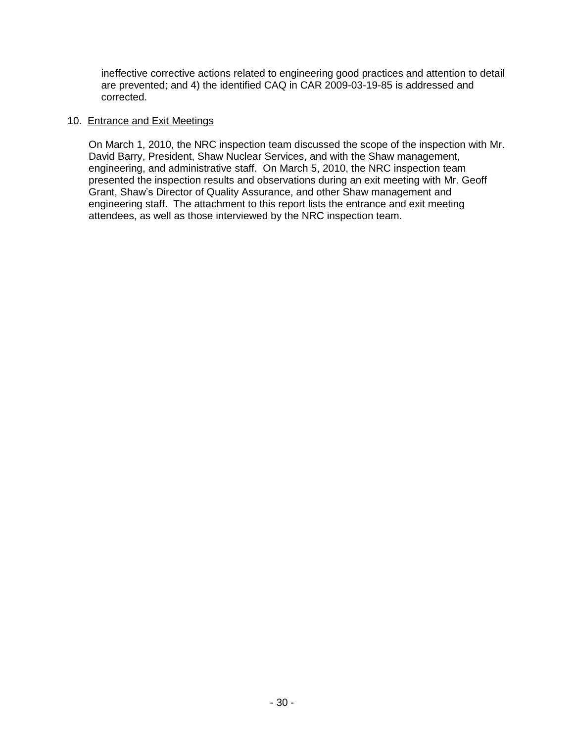ineffective corrective actions related to engineering good practices and attention to detail are prevented; and 4) the identified CAQ in CAR 2009-03-19-85 is addressed and corrected.

### 10. Entrance and Exit Meetings

On March 1, 2010, the NRC inspection team discussed the scope of the inspection with Mr. David Barry, President, Shaw Nuclear Services, and with the Shaw management, engineering, and administrative staff. On March 5, 2010, the NRC inspection team presented the inspection results and observations during an exit meeting with Mr. Geoff Grant, Shaw's Director of Quality Assurance, and other Shaw management and engineering staff. The attachment to this report lists the entrance and exit meeting attendees, as well as those interviewed by the NRC inspection team.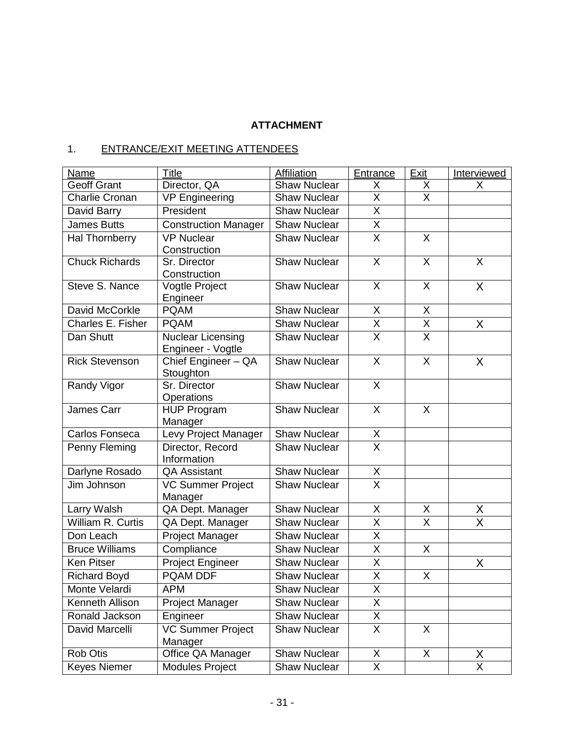# **ATTACHMENT**

# 1. ENTRANCE/EXIT MEETING ATTENDEES

| Name                  | Title                                         | Affiliation         | Entrance                     | Exit                      | Interviewed             |
|-----------------------|-----------------------------------------------|---------------------|------------------------------|---------------------------|-------------------------|
| <b>Geoff Grant</b>    | Director, QA                                  | <b>Shaw Nuclear</b> | X                            | X                         | X                       |
| <b>Charlie Cronan</b> | <b>VP Engineering</b>                         | <b>Shaw Nuclear</b> | X                            | X                         |                         |
| David Barry           | President                                     | <b>Shaw Nuclear</b> | X                            |                           |                         |
| <b>James Butts</b>    | <b>Construction Manager</b>                   | <b>Shaw Nuclear</b> | X                            |                           |                         |
| Hal Thornberry        | <b>VP Nuclear</b>                             | <b>Shaw Nuclear</b> | $\overline{\mathsf{x}}$      | X                         |                         |
|                       | Construction                                  |                     |                              |                           |                         |
| <b>Chuck Richards</b> | Sr. Director                                  | <b>Shaw Nuclear</b> | X                            | X                         | X                       |
|                       | Construction                                  |                     |                              |                           |                         |
| Steve S. Nance        | Vogtle Project                                | <b>Shaw Nuclear</b> | X                            | X                         | X                       |
|                       | Engineer                                      |                     |                              |                           |                         |
| David McCorkle        | <b>PQAM</b>                                   | <b>Shaw Nuclear</b> | X<br>$\overline{\mathsf{x}}$ | X                         |                         |
| Charles E. Fisher     | <b>PQAM</b>                                   | <b>Shaw Nuclear</b> |                              | $\overline{\mathsf{X}}$   | X                       |
| Dan Shutt             | <b>Nuclear Licensing</b><br>Engineer - Vogtle | <b>Shaw Nuclear</b> | $\overline{\mathsf{X}}$      | $\overline{\mathsf{X}}$   |                         |
| <b>Rick Stevenson</b> | Chief Engineer - QA                           | <b>Shaw Nuclear</b> | X                            | $\times$                  | X                       |
|                       | Stoughton                                     |                     |                              |                           |                         |
| Randy Vigor           | Sr. Director<br>Operations                    | <b>Shaw Nuclear</b> | $\mathsf{X}$                 |                           |                         |
| James Carr            | <b>HUP Program</b>                            | <b>Shaw Nuclear</b> | X                            | $\boldsymbol{\mathsf{X}}$ |                         |
|                       | Manager                                       |                     |                              |                           |                         |
| Carlos Fonseca        | Levy Project Manager                          | <b>Shaw Nuclear</b> | X                            |                           |                         |
| Penny Fleming         | Director, Record                              | <b>Shaw Nuclear</b> | $\overline{X}$               |                           |                         |
|                       | Information                                   |                     |                              |                           |                         |
| Darlyne Rosado        | <b>QA Assistant</b>                           | <b>Shaw Nuclear</b> | X                            |                           |                         |
| Jim Johnson           | <b>VC Summer Project</b><br>Manager           | Shaw Nuclear        | $\overline{\mathsf{x}}$      |                           |                         |
| Larry Walsh           | QA Dept. Manager                              | <b>Shaw Nuclear</b> | X                            | Χ                         | <u>X</u>                |
| William R. Curtis     | QA Dept. Manager                              | Shaw Nuclear        | X                            | X                         | $\overline{\sf x}$      |
| Don Leach             | Project Manager                               | <b>Shaw Nuclear</b> | X                            |                           |                         |
| <b>Bruce Williams</b> | Compliance                                    | <b>Shaw Nuclear</b> | $\overline{\sf x}$           | X                         |                         |
| <b>Ken Pitser</b>     | <b>Project Engineer</b>                       | <b>Shaw Nuclear</b> | $\overline{\mathsf{x}}$      |                           | X                       |
| <b>Richard Boyd</b>   | PQAM DDF                                      | <b>Shaw Nuclear</b> | $\overline{\mathsf{X}}$      | $\sf X$                   |                         |
| Monte Velardi         | <b>APM</b>                                    | <b>Shaw Nuclear</b> | Χ                            |                           |                         |
| Kenneth Allison       | Project Manager                               | <b>Shaw Nuclear</b> | $\overline{\mathsf{X}}$      |                           |                         |
| Ronald Jackson        | Engineer                                      | <b>Shaw Nuclear</b> | X                            |                           |                         |
| David Marcelli        | <b>VC Summer Project</b>                      | <b>Shaw Nuclear</b> | X                            | X                         |                         |
|                       | Manager                                       |                     |                              |                           |                         |
| <b>Rob Otis</b>       | Office QA Manager                             | <b>Shaw Nuclear</b> | X                            | X                         | X                       |
| <b>Keyes Niemer</b>   | <b>Modules Project</b>                        | <b>Shaw Nuclear</b> | X                            |                           | $\overline{\mathsf{x}}$ |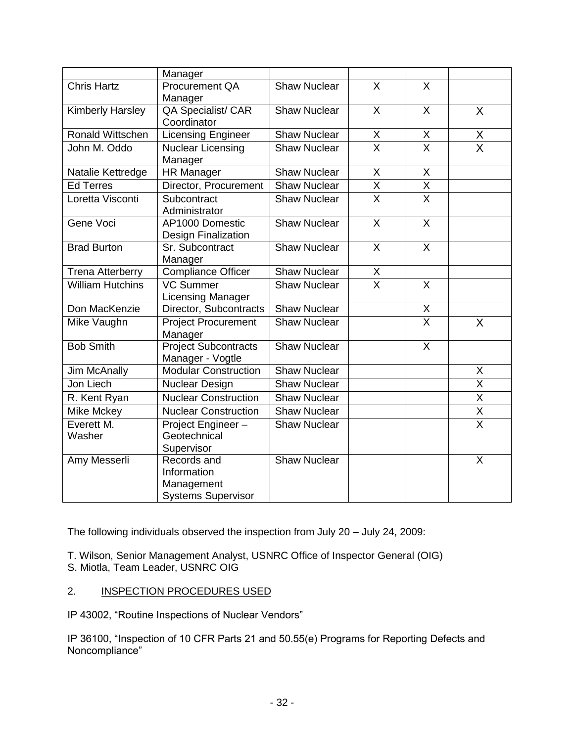|                         | Manager                                         |                     |                         |                           |                         |
|-------------------------|-------------------------------------------------|---------------------|-------------------------|---------------------------|-------------------------|
| <b>Chris Hartz</b>      | Procurement QA<br>Manager                       | <b>Shaw Nuclear</b> | $\times$                | X                         |                         |
| <b>Kimberly Harsley</b> | QA Specialist/ CAR<br>Coordinator               | <b>Shaw Nuclear</b> | X                       | X                         | X                       |
| Ronald Wittschen        | Licensing Engineer                              | <b>Shaw Nuclear</b> | $\mathsf{X}$            | X                         | $\frac{X}{X}$           |
| John M. Oddo            | <b>Nuclear Licensing</b><br>Manager             | <b>Shaw Nuclear</b> | $\overline{\mathsf{x}}$ | $\overline{\mathsf{X}}$   |                         |
| Natalie Kettredge       | <b>HR Manager</b>                               | <b>Shaw Nuclear</b> | X                       | X                         |                         |
| <b>Ed Terres</b>        | Director, Procurement                           | <b>Shaw Nuclear</b> | $\overline{X}$          | $\overline{\mathsf{X}}$   |                         |
| Loretta Visconti        | Subcontract<br>Administrator                    | <b>Shaw Nuclear</b> | $\overline{\mathsf{x}}$ | $\overline{\mathsf{x}}$   |                         |
| Gene Voci               | AP1000 Domestic<br>Design Finalization          | <b>Shaw Nuclear</b> | $\overline{X}$          | $\overline{X}$            |                         |
| <b>Brad Burton</b>      | Sr. Subcontract<br>Manager                      | <b>Shaw Nuclear</b> | X                       | $\boldsymbol{\mathsf{X}}$ |                         |
| <b>Trena Atterberry</b> | <b>Compliance Officer</b>                       | <b>Shaw Nuclear</b> | X                       |                           |                         |
| <b>William Hutchins</b> | <b>VC Summer</b><br><b>Licensing Manager</b>    | <b>Shaw Nuclear</b> | $\overline{\mathsf{x}}$ | $\times$                  |                         |
| Don MacKenzie           | Director, Subcontracts                          | Shaw Nuclear        |                         | $\pmb{\mathsf{X}}$        |                         |
| Mike Vaughn             | <b>Project Procurement</b><br>Manager           | <b>Shaw Nuclear</b> |                         | $\overline{\mathsf{x}}$   | X                       |
| <b>Bob Smith</b>        | <b>Project Subcontracts</b><br>Manager - Vogtle | <b>Shaw Nuclear</b> |                         | $\overline{X}$            |                         |
| Jim McAnally            | <b>Modular Construction</b>                     | <b>Shaw Nuclear</b> |                         |                           | X                       |
| Jon Liech               | Nuclear Design                                  | <b>Shaw Nuclear</b> |                         |                           | X                       |
| R. Kent Ryan            | <b>Nuclear Construction</b>                     | <b>Shaw Nuclear</b> |                         |                           | $\overline{\mathsf{x}}$ |
| Mike Mckey              | <b>Nuclear Construction</b>                     | <b>Shaw Nuclear</b> |                         |                           | $\overline{\mathsf{X}}$ |
| Everett M.              | Project Engineer-                               | <b>Shaw Nuclear</b> |                         |                           | $\overline{\mathsf{x}}$ |
| Washer                  | Geotechnical                                    |                     |                         |                           |                         |
|                         | Supervisor                                      |                     |                         |                           |                         |
| Amy Messerli            | Records and                                     | <b>Shaw Nuclear</b> |                         |                           | X                       |
|                         | Information                                     |                     |                         |                           |                         |
|                         | Management                                      |                     |                         |                           |                         |
|                         | <b>Systems Supervisor</b>                       |                     |                         |                           |                         |

The following individuals observed the inspection from July 20 – July 24, 2009:

T. Wilson, Senior Management Analyst, USNRC Office of Inspector General (OIG)

- S. Miotla, Team Leader, USNRC OIG
- 2. INSPECTION PROCEDURES USED

IP 43002, "Routine Inspections of Nuclear Vendors"

IP 36100, "Inspection of 10 CFR Parts 21 and 50.55(e) Programs for Reporting Defects and Noncompliance"